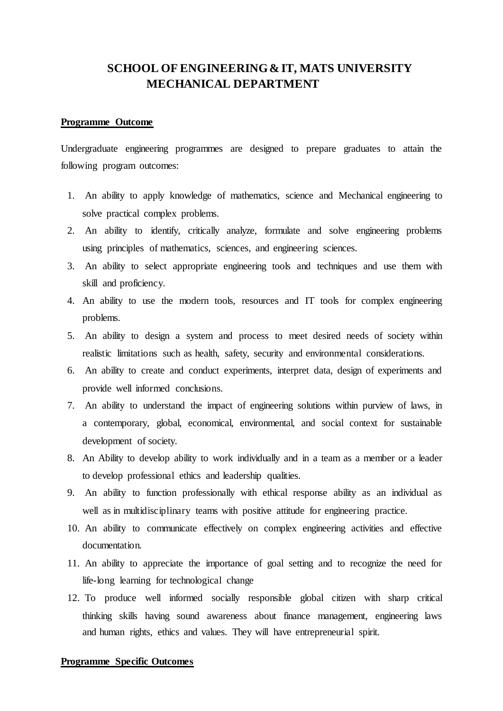# **SCHOOL OF ENGINEERING & IT, MATS UNIVERSITY MECHANICAL DEPARTMENT**

## **Programme Outcome**

Undergraduate engineering programmes are designed to prepare graduates to attain the following program outcomes:

- 1. An ability to apply knowledge of mathematics, science and Mechanical engineering to solve practical complex problems.
- 2. An ability to identify, critically analyze, formulate and solve engineering problems using principles of mathematics, sciences, and engineering sciences.
- 3. An ability to select appropriate engineering tools and techniques and use them with skill and proficiency.
- 4. An ability to use the modern tools, resources and IT tools for complex engineering problems.
- 5. An ability to design a system and process to meet desired needs of society within realistic limitations such as health, safety, security and environmental considerations.
- 6. An ability to create and conduct experiments, interpret data, design of experiments and provide well informed conclusions.
- 7. An ability to understand the impact of engineering solutions within purview of laws, in a contemporary, global, economical, environmental, and social context for sustainable development of society.
- 8. An Ability to develop ability to work individually and in a team as a member or a leader to develop professional ethics and leadership qualities.
- 9. An ability to function professionally with ethical response ability as an individual as well as in multidisciplinary teams with positive attitude for engineering practice.
- 10. An ability to communicate effectively on complex engineering activities and effective documentation.
- 11. An ability to appreciate the importance of goal setting and to recognize the need for life-long learning for technological change
- 12. To produce well informed socially responsible global citizen with sharp critical thinking skills having sound awareness about finance management, engineering laws and human rights, ethics and values. They will have entrepreneurial spirit.

## **Programme Specific Outcomes**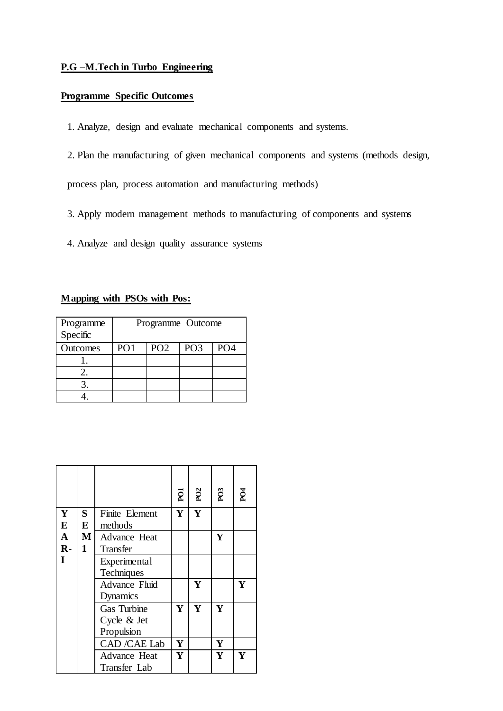## **P.G –M.Tech in Turbo Engineering**

## **Programme Specific Outcomes**

- 1. Analyze, design and evaluate mechanical components and systems.
- 2. Plan the manufacturing of given mechanical components and systems (methods design,

process plan, process automation and manufacturing methods)

- 3. Apply modern management methods to manufacturing of components and systems
- 4. Analyze and design quality assurance systems

## **Mapping with PSOs with Pos:**

| Programme<br>Specific | Programme Outcome |                 |                 |                 |
|-----------------------|-------------------|-----------------|-----------------|-----------------|
| Outcomes              | PO <sub>1</sub>   | PO <sub>2</sub> | PO <sub>3</sub> | PO <sub>4</sub> |
|                       |                   |                 |                 |                 |
|                       |                   |                 |                 |                 |
|                       |                   |                 |                 |                 |
|                       |                   |                 |                 |                 |

|    |              |                             | pot | P <sub>02</sub> | PO3 | PO <sub>4</sub> |
|----|--------------|-----------------------------|-----|-----------------|-----|-----------------|
| Y  | S.           | Finite Element              | Y   | Y               |     |                 |
| E  | E            | methods                     |     |                 |     |                 |
| A  | $\mathbf M$  | Advance Heat                |     |                 | Y   |                 |
| R- | $\mathbf{1}$ | Transfer                    |     |                 |     |                 |
| T  |              | Experimental                |     |                 |     |                 |
|    |              | Techniques                  |     |                 |     |                 |
|    |              | <b>Advance Fluid</b>        |     | Y               |     | Y               |
|    |              | Dynamics                    |     |                 |     |                 |
|    |              | <b>Gas Turbine</b>          | Y   | Y               | Y   |                 |
|    |              | Cycle & Jet                 |     |                 |     |                 |
|    |              | Propulsion                  |     |                 |     |                 |
|    |              | <b>CAD</b> / <b>CAE</b> Lab | Y   |                 | Y   |                 |
|    |              | Advance Heat                | Y   |                 | Y   | Y               |
|    |              | Transfer Lab                |     |                 |     |                 |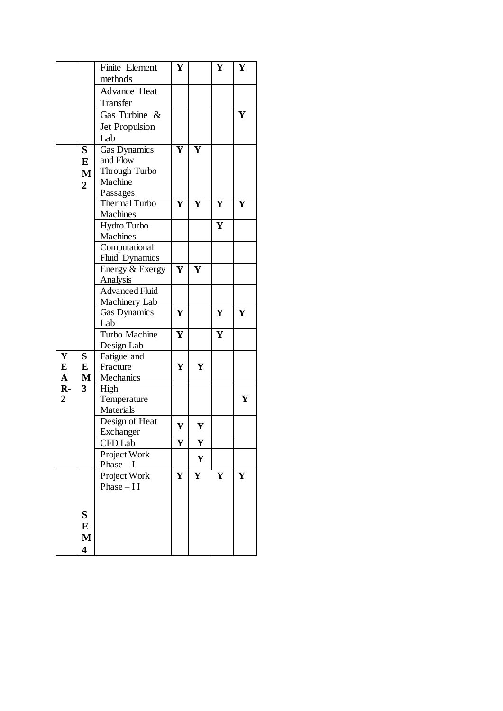|                |                | Finite Element        | Y |   | Y | Y |
|----------------|----------------|-----------------------|---|---|---|---|
|                |                | methods               |   |   |   |   |
|                |                | Advance Heat          |   |   |   |   |
|                |                | Transfer              |   |   |   |   |
|                |                | Gas Turbine &         |   |   |   | Y |
|                |                | Jet Propulsion        |   |   |   |   |
|                |                | Lab                   |   |   |   |   |
|                | S              | Gas Dynamics          | Y | Y |   |   |
|                | E              | and Flow              |   |   |   |   |
|                |                | Through Turbo         |   |   |   |   |
|                | $\mathbf{M}$   | Machine               |   |   |   |   |
|                | $\overline{2}$ | Passages              |   |   |   |   |
|                |                | <b>Thermal Turbo</b>  | Y | Y | Y | Y |
|                |                | Machines              |   |   |   |   |
|                |                | Hydro Turbo           |   |   | Y |   |
|                |                | Machines              |   |   |   |   |
|                |                | Computational         |   |   |   |   |
|                |                | Fluid Dynamics        |   |   |   |   |
|                |                | Energy & Exergy       | Y | Y |   |   |
|                |                | Analysis              |   |   |   |   |
|                |                | <b>Advanced Fluid</b> |   |   |   |   |
|                |                | Machinery Lab         |   |   |   |   |
|                |                | Gas Dynamics          | Y |   | Y | Y |
|                |                | Lab                   |   |   |   |   |
|                |                | Turbo Machine         | Y |   | Y |   |
|                |                | Design Lab            |   |   |   |   |
| Y              | S              | Fatigue and           |   |   |   |   |
| ${\bf E}$      | E              | Fracture              | Y | Y |   |   |
| $\mathbf{A}$   | $\mathbf{M}$   | Mechanics             |   |   |   |   |
| $R -$          | 3              | High                  |   |   |   |   |
| $\overline{2}$ |                | Temperature           |   |   |   | Y |
|                |                | Materials             |   |   |   |   |
|                |                | Design of Heat        |   |   |   |   |
|                |                | Exchanger             | Y | Y |   |   |
|                |                | CFD Lab               | Y | Y |   |   |
|                |                | Project Work          |   |   |   |   |
|                |                | $Phase - I$           |   | Y |   |   |
|                |                | Project Work          | Y | Y | Y | Y |
|                |                | Phase $-II$           |   |   |   |   |
|                |                |                       |   |   |   |   |
|                |                |                       |   |   |   |   |
|                | S              |                       |   |   |   |   |
|                | E              |                       |   |   |   |   |
|                | M              |                       |   |   |   |   |
|                | 4              |                       |   |   |   |   |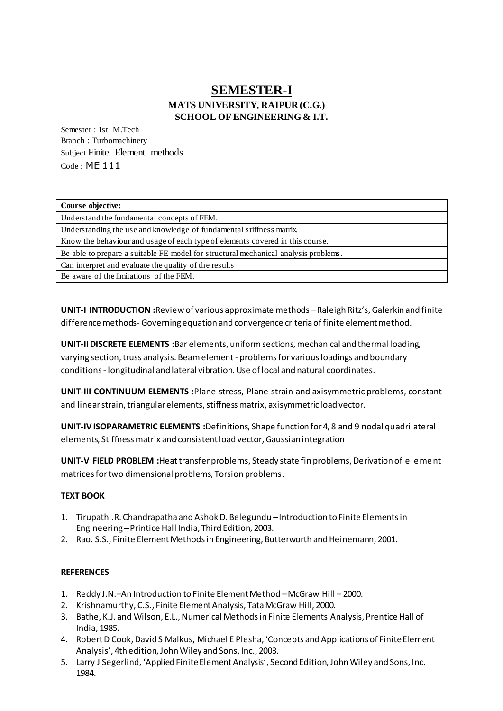# **SEMESTER-I MATS UNIVERSITY, RAIPUR (C.G.) SCHOOL OF ENGINEERING & I.T.**

Semester : 1st M.Tech Branch : Turbomachinery Subject Finite Element methods Code : ME 111

| Course objective:                                                                   |
|-------------------------------------------------------------------------------------|
| Understand the fundamental concepts of FEM.                                         |
| Understanding the use and knowledge of fundamental stiffness matrix.                |
| Know the behaviour and usage of each type of elements covered in this course.       |
| Be able to prepare a suitable FE model for structural mechanical analysis problems. |
| Can interpret and evaluate the quality of the results                               |
| Be aware of the limitations of the FEM.                                             |

**UNIT-I INTRODUCTION :**Review of various approximate methods –Raleigh Ritz's, Galerkin and finite difference methods- Governing equation and convergence criteria of finite element method.

**UNIT-II DISCRETE ELEMENTS :**Bar elements, uniform sections, mechanical and thermal loading, varying section, truss analysis. Beam element - problems for various loadings and boundary conditions - longitudinal and lateral vibration. Use of local and natural coordinates.

**UNIT-III CONTINUUM ELEMENTS :**Plane stress, Plane strain and axisymmetric problems, constant and linear strain, triangular elements, stiffness matrix, axisymmetric load vector.

**UNIT-IV ISOPARAMETRIC ELEMENTS :**Definitions, Shape function for 4, 8 and 9 nodal quadrilateral elements, Stiffness matrix and consistent load vector, Gaussian integration

**UNIT-V FIELD PROBLEM :**Heat transfer problems, Steady state fin problems, Derivation of element matrices for two dimensional problems, Torsion problems.

## **TEXT BOOK**

- 1. Tirupathi.R. Chandrapatha and Ashok D. Belegundu –Introduction to Finite Elements in Engineering –Printice Hall India, Third Edition, 2003.
- 2. Rao. S.S., Finite Element Methods in Engineering, Butterworth and Heinemann, 2001.

## **REFERENCES**

- 1. Reddy J.N.–An Introduction to Finite Element Method –McGraw Hill 2000.
- 2. Krishnamurthy, C.S., Finite Element Analysis, Tata McGraw Hill, 2000.
- 3. Bathe, K.J. and Wilson, E.L., Numerical Methods in Finite Elements Analysis, Prentice Hall of India, 1985.
- 4. Robert D Cook, David S Malkus, Michael E Plesha, 'Concepts and Applications of Finite Element Analysis', 4th edition, John Wiley and Sons, Inc., 2003.
- 5. Larry J Segerlind, 'Applied Finite Element Analysis', Second Edition, John Wiley and Sons, Inc. 1984.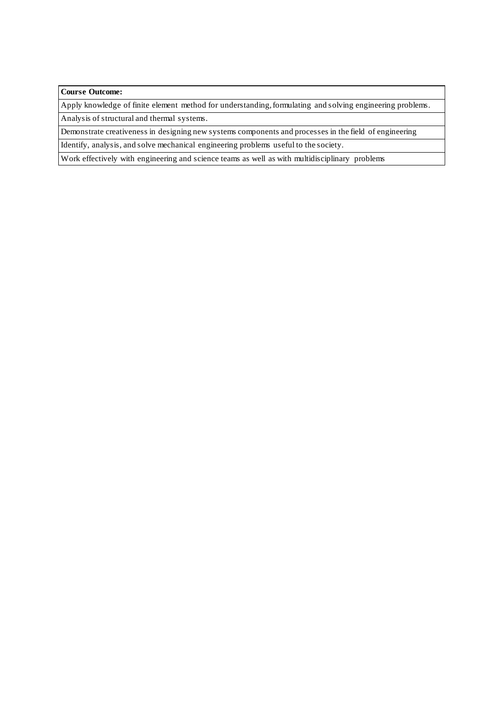#### **Course Outcome:**

Apply knowledge of finite element method for understanding, formulating and solving engineering problems. Analysis of structural and thermal systems.

Demonstrate creativeness in designing new systems components and processes in the field of engineering

Identify, analysis, and solve mechanical engineering problems useful to the society.

Work effectively with engineering and science teams as well as with multidisciplinary problems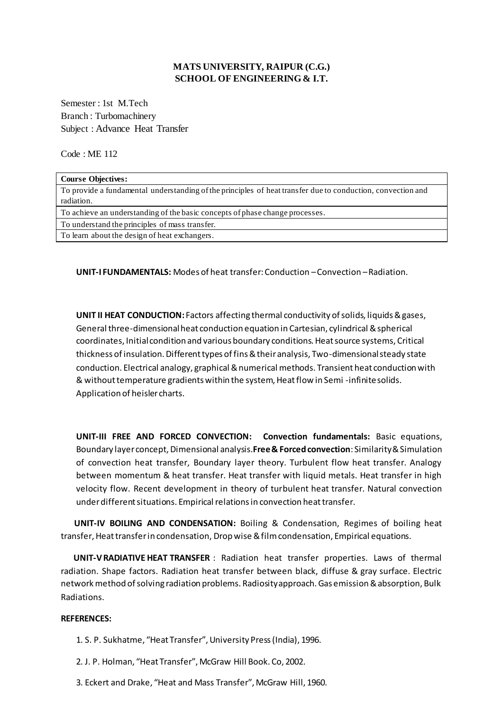## **MATS UNIVERSITY, RAIPUR (C.G.) SCHOOL OF ENGINEERING & I.T.**

Semester : 1st M.Tech Branch : Turbomachinery Subject : Advance Heat Transfer

Code : ME 112

| <b>Course Objectives:</b>                                                                                                 |
|---------------------------------------------------------------------------------------------------------------------------|
| To provide a fundamental understanding of the principles of heat transfer due to conduction, convection and<br>radiation. |
| To achieve an understanding of the basic concepts of phase change processes.                                              |
| To understand the principles of mass transfer.                                                                            |
| To learn about the design of heat exchangers.                                                                             |

**UNIT-I FUNDAMENTALS:** Modes of heat transfer: Conduction –Convection –Radiation.

**UNIT II HEAT CONDUCTION:** Factors affecting thermal conductivity of solids, liquids & gases, General three-dimensional heat conduction equation in Cartesian, cylindrical & spherical coordinates, Initial condition and various boundary conditions. Heat source systems, Critical thickness of insulation. Different types of fins & their analysis, Two-dimensional steady state conduction. Electrical analogy, graphical & numerical methods. Transient heat conduction with & without temperature gradients within the system, Heat flow in Semi -infinite solids. Application of heisler charts.

**UNIT-III FREE AND FORCED CONVECTION: Convection fundamentals:** Basic equations, Boundary layer concept, Dimensional analysis.**Free & Forced convection**: Similarity & Simulation of convection heat transfer, Boundary layer theory. Turbulent flow heat transfer. Analogy between momentum & heat transfer. Heat transfer with liquid metals. Heat transfer in high velocity flow. Recent development in theory of turbulent heat transfer. Natural convection under different situations. Empirical relations in convection heat transfer.

 **UNIT-IV BOILING AND CONDENSATION:** Boiling & Condensation, Regimes of boiling heat transfer, Heat transfer in condensation, Drop wise & film condensation, Empirical equations.

 **UNIT-VRADIATIVE HEAT TRANSFER** : Radiation heat transfer properties. Laws of thermal radiation. Shape factors. Radiation heat transfer between black, diffuse & gray surface. Electric network method of solving radiation problems. Radiosity approach. Gas emission & absorption, Bulk Radiations.

#### **REFERENCES:**

1. S. P. Sukhatme, "Heat Transfer", University Press (India), 1996.

2. J. P. Holman, "Heat Transfer", McGraw Hill Book. Co, 2002.

3. Eckert and Drake, "Heat and Mass Transfer", McGraw Hill, 1960.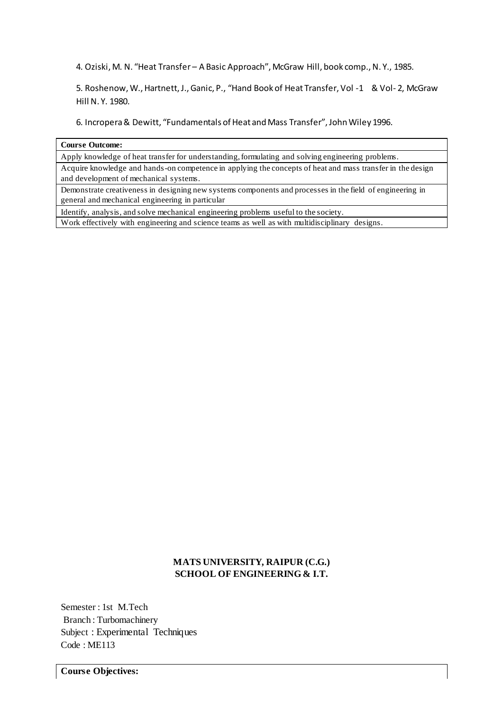4. Oziski, M. N. "Heat Transfer – A Basic Approach", McGraw Hill, book comp., N. Y., 1985.

5. Roshenow, W., Hartnett, J., Ganic, P., "Hand Book of Heat Transfer, Vol -1 & Vol- 2, McGraw Hill N. Y. 1980.

6. Incropera & Dewitt, "Fundamentals of Heat and Mass Transfer", John Wiley 1996.

#### **Course Outcome:**

Apply knowledge of heat transfer for understanding, formulating and solving engineering problems. Acquire knowledge and hands-on competence in applying the concepts of heat and mass transfer in the design and development of mechanical systems.

Demonstrate creativeness in designing new systems components and processes in the field of engineering in general and mechanical engineering in particular

Identify, analysis, and solve mechanical engineering problems useful to the society.

Work effectively with engineering and science teams as well as with multidisciplinary designs.

## **MATS UNIVERSITY, RAIPUR (C.G.) SCHOOL OF ENGINEERING & I.T.**

Semester : 1st M.Tech Branch : Turbomachinery Subject : Experimental Techniques Code : ME113

**Course Objectives:**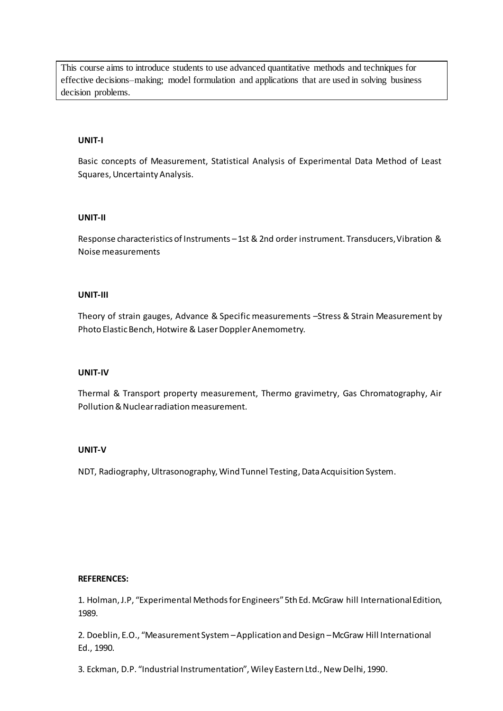This course aims to introduce students to use advanced quantitative methods and techniques for effective decisions–making; model formulation and applications that are used in solving business decision problems.

### **UNIT-I**

Basic concepts of Measurement, Statistical Analysis of Experimental Data Method of Least Squares, Uncertainty Analysis.

## **UNIT-II**

Response characteristics of Instruments –1st & 2nd order instrument. Transducers, Vibration & Noise measurements

#### **UNIT-III**

Theory of strain gauges, Advance & Specific measurements –Stress & Strain Measurement by Photo Elastic Bench, Hotwire & Laser Doppler Anemometry.

#### **UNIT-IV**

Thermal & Transport property measurement, Thermo gravimetry, Gas Chromatography, Air Pollution & Nuclear radiation measurement.

#### **UNIT-V**

NDT, Radiography, Ultrasonography, Wind Tunnel Testing, Data Acquisition System.

#### **REFERENCES:**

1. Holman, J.P, "Experimental Methods for Engineers" 5th Ed. McGraw hill International Edition, 1989.

2. Doeblin, E.O., "Measurement System –Application and Design –McGraw Hill International Ed., 1990.

3. Eckman, D.P. "Industrial Instrumentation", Wiley Eastern Ltd., New Delhi, 1990.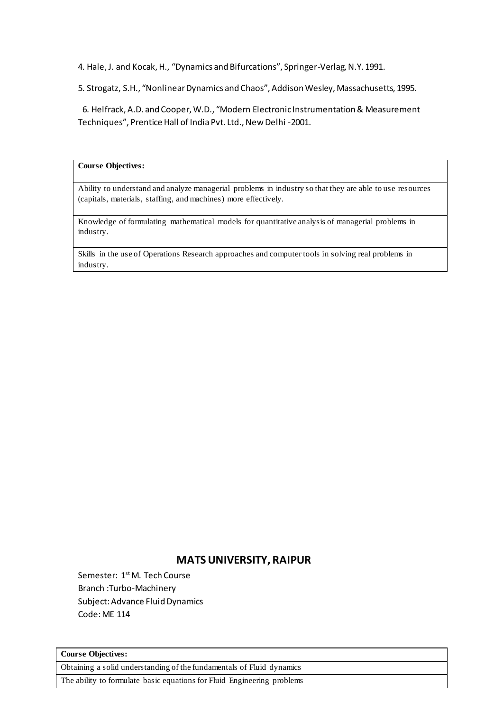4. Hale, J. and Kocak, H., "Dynamics and Bifurcations", Springer-Verlag, N.Y. 1991.

5. Strogatz, S.H., "Nonlinear Dynamics and Chaos", Addison Wesley, Massachusetts, 1995.

 6. Helfrack, A.D. and Cooper, W.D., "Modern Electronic Instrumentation & Measurement Techniques", Prentice Hall of India Pvt. Ltd., New Delhi -2001.

#### **Course Objectives:**

Ability to understand and analyze managerial problems in industry so that they are able to use resources (capitals, materials, staffing, and machines) more effectively.

Knowledge of formulating mathematical models for quantitative analysis of managerial problems in industry.

Skills in the use of Operations Research approaches and computer tools in solving real problems in industry.

## **MATS UNIVERSITY, RAIPUR**

Semester: 1<sup>st</sup> M. Tech Course Branch :Turbo-Machinery Subject: Advance Fluid Dynamics Code: ME 114

#### **Course Objectives:**

Obtaining a solid understanding of the fundamentals of Fluid dynamics

The ability to formulate basic equations for Fluid Engineering problems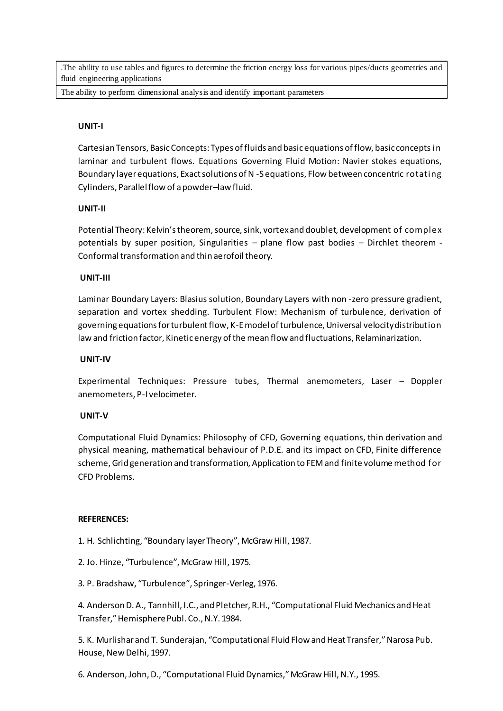.The ability to use tables and figures to determine the friction energy loss for various pipes/ducts geometries and fluid engineering applications

The ability to perform dimensional analysis and identify important parameters

## **UNIT-I**

Cartesian Tensors, Basic Concepts: Types of fluids and basic equations of flow, basic concepts in laminar and turbulent flows. Equations Governing Fluid Motion: Navier stokes equations, Boundary layer equations, Exact solutions of N -S equations, Flow between concentric rotating Cylinders, Parallel flow of a powder–law fluid.

## **UNIT-II**

Potential Theory: Kelvin's theorem, source, sink, vortex and doublet, development of complex potentials by super position, Singularities – plane flow past bodies – Dirchlet theorem - Conformal transformation and thin aerofoil theory.

## **UNIT-III**

Laminar Boundary Layers: Blasius solution, Boundary Layers with non -zero pressure gradient, separation and vortex shedding. Turbulent Flow: Mechanism of turbulence, derivation of governing equations for turbulent flow, K-E model of turbulence, Universal velocity distribution law and friction factor, Kinetic energy of the mean flow and fluctuations, Relaminarization.

## **UNIT-IV**

Experimental Techniques: Pressure tubes, Thermal anemometers, Laser – Doppler anemometers, P-I velocimeter.

## **UNIT-V**

Computational Fluid Dynamics: Philosophy of CFD, Governing equations, thin derivation and physical meaning, mathematical behaviour of P.D.E. and its impact on CFD, Finite difference scheme, Grid generation and transformation, Application to FEM and finite volume method for CFD Problems.

## **REFERENCES:**

1. H. Schlichting, "Boundary layer Theory", McGraw Hill, 1987.

2. Jo. Hinze, "Turbulence", McGraw Hill, 1975.

3. P. Bradshaw, "Turbulence", Springer-Verleg, 1976.

4. Anderson D. A., Tannhill, I.C., and Pletcher, R.H., "Computational Fluid Mechanics and Heat Transfer," Hemisphere Publ. Co., N.Y. 1984.

5. K. Murlishar and T. Sunderajan, "Computational Fluid Flow and Heat Transfer," Narosa Pub. House, New Delhi, 1997.

6. Anderson, John, D., "Computational Fluid Dynamics," McGraw Hill, N.Y., 1995.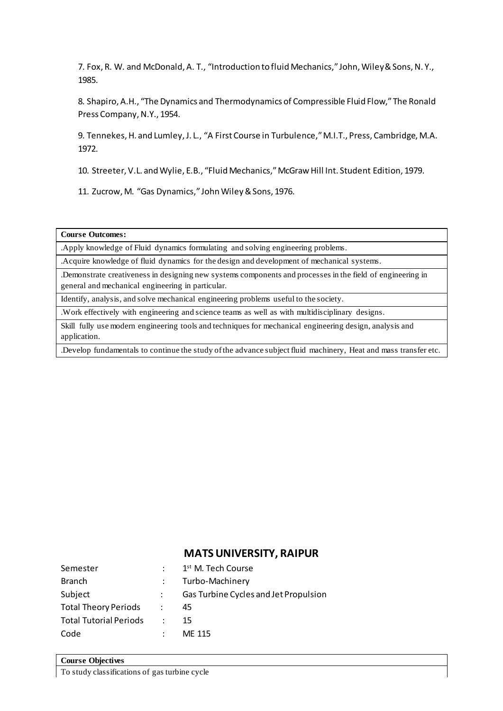7. Fox, R. W. and McDonald, A. T., "Introduction to fluid Mechanics," John, Wiley & Sons, N. Y., 1985.

8. Shapiro, A.H., "The Dynamics and Thermodynamics of Compressible Fluid Flow," The Ronald Press Company, N.Y., 1954.

9. Tennekes, H. and Lumley, J. L., "A First Course in Turbulence," M.I.T., Press, Cambridge, M.A. 1972.

10. Streeter, V.L. and Wylie, E.B., "Fluid Mechanics," McGraw Hill Int. Student Edition, 1979.

11. Zucrow, M. "Gas Dynamics," John Wiley & Sons, 1976.

**Course Outcomes:** 

.Apply knowledge of Fluid dynamics formulating and solving engineering problems.

.Acquire knowledge of fluid dynamics for the design and development of mechanical systems.

.Demonstrate creativeness in designing new systems components and processes in the field of engineering in general and mechanical engineering in particular.

Identify, analysis, and solve mechanical engineering problems useful to the society.

.Work effectively with engineering and science teams as well as with multidisciplinary designs.

Skill fully use modern engineering tools and techniques for mechanical engineering design, analysis and application.

.Develop fundamentals to continue the study of the advance subject fluid machinery, Heat and mass transfer etc.

# **MATS UNIVERSITY, RAIPUR**

| Semester                      |                      | 1 <sup>st</sup> M. Tech Course        |
|-------------------------------|----------------------|---------------------------------------|
| <b>Branch</b>                 |                      | Turbo-Machinery                       |
| Subject                       |                      | Gas Turbine Cycles and Jet Propulsion |
| <b>Total Theory Periods</b>   | $\ddot{\phantom{0}}$ | 45                                    |
| <b>Total Tutorial Periods</b> | di l                 | 15                                    |
| Code                          |                      | ME 115                                |

## **Course Objectives**

To study classifications of gas turbine cycle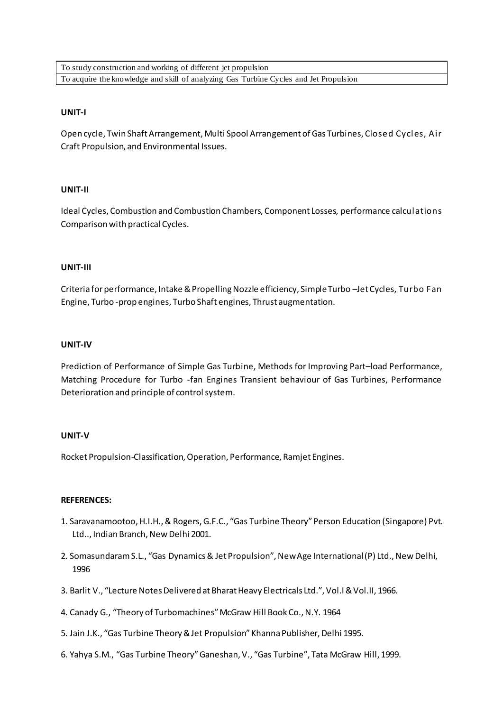To study construction and working of different jet propulsion To acquire the knowledge and skill of analyzing Gas Turbine Cycles and Jet Propulsion

### **UNIT-I**

Open cycle, Twin Shaft Arrangement, Multi Spool Arrangement of Gas Turbines, Closed Cycles, Air Craft Propulsion, and Environmental Issues.

#### **UNIT-II**

Ideal Cycles, Combustion and Combustion Chambers, Component Losses, performance calculations Comparison with practical Cycles.

#### **UNIT-III**

Criteria for performance, Intake & Propelling Nozzle efficiency, Simple Turbo –Jet Cycles, Turbo Fan Engine, Turbo -prop engines, Turbo Shaft engines, Thrust augmentation.

#### **UNIT-IV**

Prediction of Performance of Simple Gas Turbine, Methods for Improving Part–load Performance, Matching Procedure for Turbo -fan Engines Transient behaviour of Gas Turbines, Performance Deterioration and principle of control system.

#### **UNIT-V**

Rocket Propulsion-Classification, Operation, Performance, Ramjet Engines.

#### **REFERENCES:**

- 1. Saravanamootoo, H.I.H., & Rogers, G.F.C., "Gas Turbine Theory" Person Education (Singapore) Pvt. Ltd.., Indian Branch, New Delhi 2001.
- 2. Somasundaram S.L., "Gas Dynamics & Jet Propulsion", New Age International (P) Ltd., New Delhi, 1996
- 3. Barlit V., "Lecture Notes Delivered at Bharat Heavy Electricals Ltd.", Vol.I & Vol.II, 1966.
- 4. Canady G., "Theory of Turbomachines" McGraw Hill Book Co., N.Y. 1964
- 5. Jain J.K., "Gas Turbine Theory & Jet Propulsion" Khanna Publisher, Delhi 1995.
- 6. Yahya S.M., "Gas Turbine Theory" Ganeshan, V., "Gas Turbine", Tata McGraw Hill, 1999.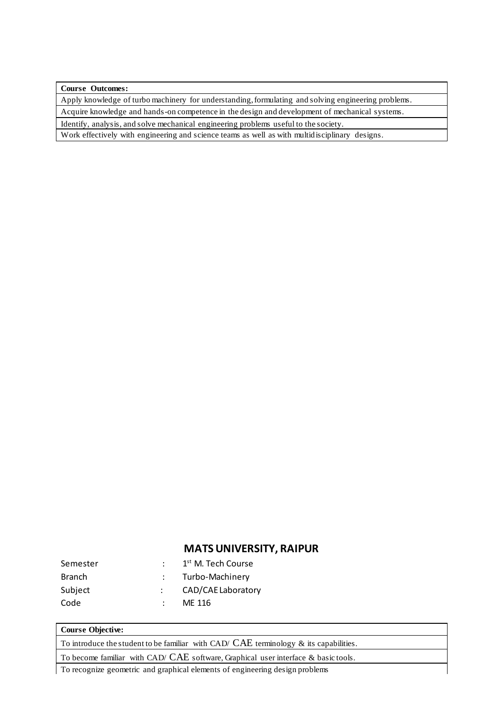**Course Outcomes:** 

Apply knowledge of turbo machinery for understanding, formulating and solving engineering problems.

Acquire knowledge and hands-on competence in the design and development of mechanical systems.

Identify, analysis, and solve mechanical engineering problems useful to the society.

Work effectively with engineering and science teams as well as with multidisciplinary designs.

## **MATS UNIVERSITY, RAIPUR**

| Semester      | 1 <sup>st</sup> M. Tech Course |
|---------------|--------------------------------|
| <b>Branch</b> | Turbo-Machinery                |
| Subject       | CAD/CAE Laboratory             |
| Code          | ME 116                         |

#### **Course Objective:**

To introduce the student to be familiar with CAD/  $CAE$  terminology  $\&$  its capabilities.

To become familiar with CAD/ CAE software, Graphical user interface & basic tools.

To recognize geometric and graphical elements of engineering design problems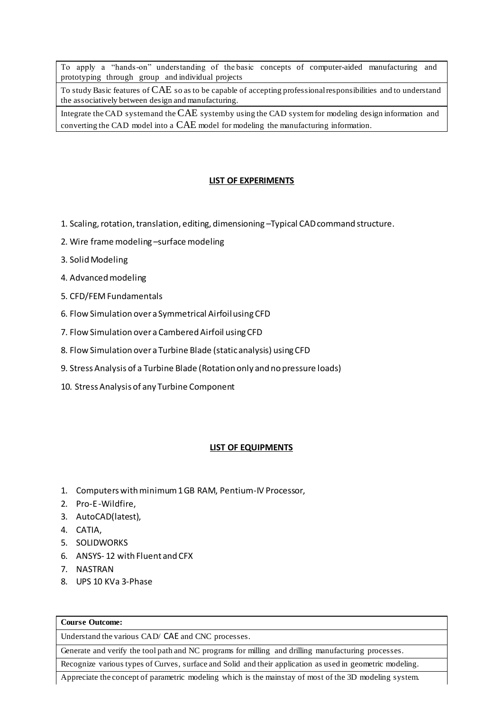To apply a "hands-on" understanding of the basic concepts of computer-aided manufacturing and prototyping through group and individual projects

To study Basic features of CAE so as to be capable of accepting professional responsibilities and to understand the associatively between design and manufacturing.

Integrate the CAD system and the CAE system by using the CAD system for modeling design information and converting the CAD model into a CAE model for modeling the manufacturing information.

#### **LIST OF EXPERIMENTS**

- 1. Scaling, rotation, translation, editing, dimensioning –Typical CAD command structure.
- 2. Wire frame modeling –surface modeling
- 3. Solid Modeling
- 4. Advanced modeling
- 5. CFD/FEM Fundamentals
- 6. Flow Simulation over a Symmetrical Airfoil using CFD
- 7. Flow Simulation over a Cambered Airfoil using CFD
- 8. Flow Simulation over a Turbine Blade (static analysis) using CFD
- 9. Stress Analysis of a Turbine Blade (Rotation only and no pressure loads)
- 10. Stress Analysis of any Turbine Component

#### **LIST OF EQUIPMENTS**

- 1. Computers with minimum 1 GB RAM, Pentium-IV Processor,
- 2. Pro-E -Wildfire,
- 3. AutoCAD(latest),
- 4. CATIA,
- 5. SOLIDWORKS
- 6. ANSYS- 12 with Fluent and CFX
- 7. NASTRAN
- 8. UPS 10 KVa 3-Phase

## **Course Outcome:**

Understand the various CAD/ CAE and CNC processes.

Generate and verify the tool path and NC programs for milling and drilling manufacturing processes.

Recognize various types of Curves, surface and Solid and their application as used in geometric modeling.

Appreciate the concept of parametric modeling which is the mainstay of most of the 3D modeling system.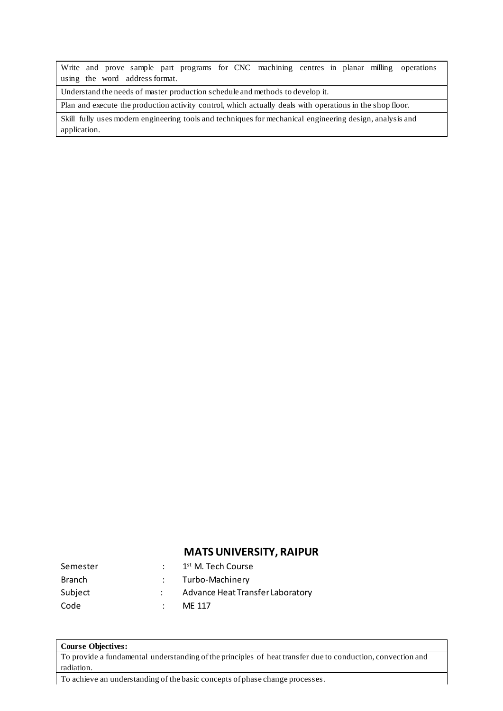Write and prove sample part programs for CNC machining centres in planar milling operations using the word address format.

Understand the needs of master production schedule and methods to develop it.

Plan and execute the production activity control, which actually deals with operations in the shop floor.

Skill fully uses modern engineering tools and techniques for mechanical engineering design, analysis and application.

# **MATS UNIVERSITY, RAIPUR**

| Semester      | 1 <sup>st</sup> M. Tech Course   |
|---------------|----------------------------------|
| <b>Branch</b> | : Turbo-Machinery                |
| Subject       | Advance Heat Transfer Laboratory |
| Code          | MF 117                           |

### **Course Objectives:**

To provide a fundamental understanding of the principles of heat transfer due to conduction, convection and radiation.

To achieve an understanding of the basic concepts of phase change processes.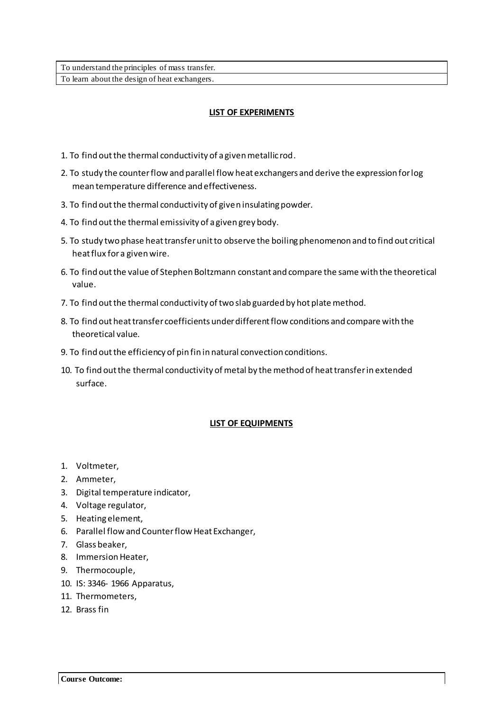## **LIST OF EXPERIMENTS**

- 1. To find out the thermal conductivity of a given metallic rod.
- 2. To study the counter flow and parallel flow heat exchangers and derive the expression for log mean temperature difference and effectiveness.
- 3. To find out the thermal conductivity of given insulating powder.
- 4. To find out the thermal emissivity of a given grey body.
- 5. To study two phase heat transfer unit to observe the boiling phenomenon and to find out critical heat flux for a given wire.
- 6. To find out the value of Stephen Boltzmann constant and compare the same with the theoretical value.
- 7. To find out the thermal conductivity of two slab guarded by hot plate method.
- 8. To find out heat transfer coefficients under different flow conditions and compare with the theoretical value.
- 9. To find out the efficiency of pin fin in natural convection conditions.
- 10. To find out the thermal conductivity of metal by the method of heat transfer in extended surface.

## **LIST OF EQUIPMENTS**

- 1. Voltmeter,
- 2. Ammeter,
- 3. Digital temperature indicator,
- 4. Voltage regulator,
- 5. Heating element,
- 6. Parallel flow and Counter flow Heat Exchanger,
- 7. Glass beaker,
- 8. Immersion Heater,
- 9. Thermocouple,
- 10. IS: 3346- 1966 Apparatus,
- 11. Thermometers,
- 12. Brass fin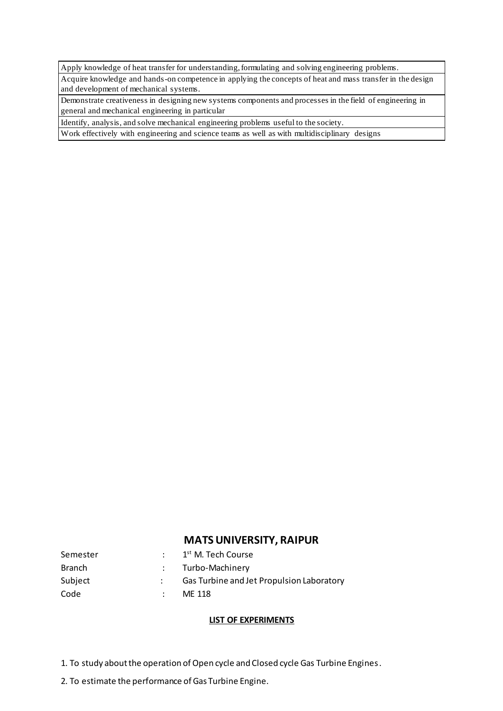Apply knowledge of heat transfer for understanding, formulating and solving engineering problems.

Acquire knowledge and hands-on competence in applying the concepts of heat and mass transfer in the design and development of mechanical systems.

Demonstrate creativeness in designing new systems components and processes in the field of engineering in general and mechanical engineering in particular

Identify, analysis, and solve mechanical engineering problems useful to the society.

Work effectively with engineering and science teams as well as with multidisciplinary designs

## **MATS UNIVERSITY, RAIPUR**

| Semester | 1 <sup>st</sup> M. Tech Course            |
|----------|-------------------------------------------|
| Branch   | : Turbo-Machinery                         |
| Subject  | Gas Turbine and Jet Propulsion Laboratory |
| Code     | ME 118                                    |

## **LIST OF EXPERIMENTS**

- 1. To study about the operation of Open cycle and Closed cycle Gas Turbine Engines.
- 2. To estimate the performance of Gas Turbine Engine.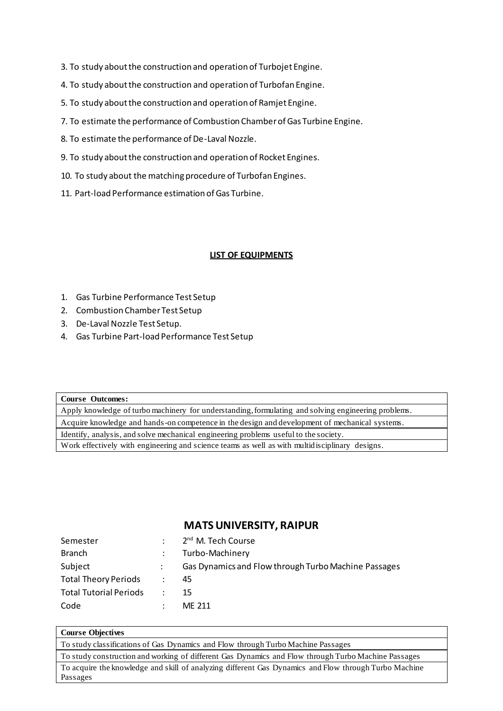- 3. To study about the construction and operation of Turbojet Engine.
- 4. To study about the construction and operation of Turbofan Engine.
- 5. To study about the construction and operation of Ramjet Engine.
- 7. To estimate the performance of Combustion Chamber of Gas Turbine Engine.
- 8. To estimate the performance of De-Laval Nozzle.
- 9. To study about the construction and operation of Rocket Engines.
- 10. To study about the matching procedure of Turbofan Engines.
- 11. Part-load Performance estimation of Gas Turbine.

## **LIST OF EQUIPMENTS**

- 1. Gas Turbine Performance Test Setup
- 2. Combustion Chamber Test Setup
- 3. De-Laval Nozzle Test Setup.
- 4. Gas Turbine Part-load Performance Test Setup

#### **Course Outcomes:**

Apply knowledge of turbo machinery for understanding, formulating and solving engineering problems. Acquire knowledge and hands-on competence in the design and development of mechanical systems. Identify, analysis, and solve mechanical engineering problems useful to the society. Work effectively with engineering and science teams as well as with multidisciplinary designs.

# **MATS UNIVERSITY, RAIPUR**

| Semester                      |            | 2 <sup>nd</sup> M. Tech Course                       |
|-------------------------------|------------|------------------------------------------------------|
| Branch                        |            | Turbo-Machinery                                      |
| Subject                       |            | Gas Dynamics and Flow through Turbo Machine Passages |
| <b>Total Theory Periods</b>   |            | 45                                                   |
| <b>Total Tutorial Periods</b> | $\sim 100$ | 15                                                   |
| Code                          |            | ME 211                                               |

#### **Course Objectives**

To study classifications of Gas Dynamics and Flow through Turbo Machine Passages

To study construction and working of different Gas Dynamics and Flow through Turbo Machine Passages

To acquire the knowledge and skill of analyzing different Gas Dynamics and Flow through Turbo Machine Passages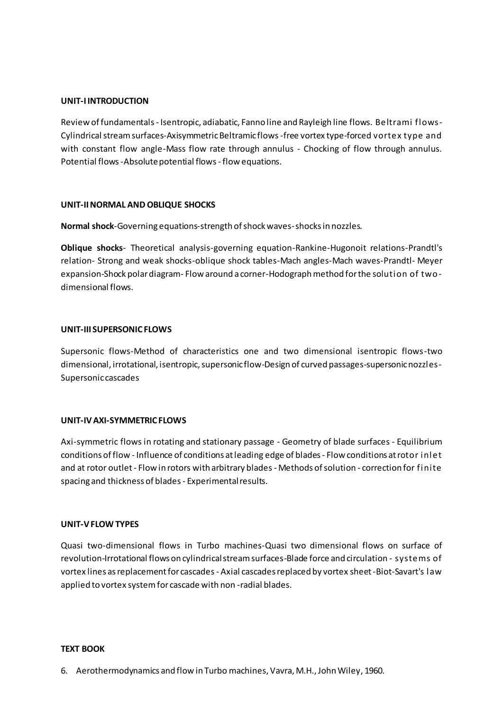## **UNIT-I INTRODUCTION**

Review of fundamentals - Isentropic, adiabatic, Fanno line and Rayleigh line flows. Beltrami flows-Cylindrical stream surfaces-Axisymmetric Beltramic flows -free vortex type-forced vortex type and with constant flow angle-Mass flow rate through annulus - Chocking of flow through annulus. Potential flows -Absolute potential flows - flow equations.

## **UNIT-II NORMAL AND OBLIQUE SHOCKS**

**Normal shock**-Governing equations-strength of shock waves-shocks in nozzles.

**Oblique shocks**- Theoretical analysis-governing equation-Rankine-Hugonoit relations-Prandtl's relation- Strong and weak shocks-oblique shock tables-Mach angles-Mach waves-Prandtl- Meyer expansion-Shock polar diagram- Flow around a corner-Hodograph method for the solution of twodimensional flows.

## **UNIT-III SUPERSONIC FLOWS**

Supersonic flows-Method of characteristics one and two dimensional isentropic flows-two dimensional, irrotational, isentropic, supersonic flow-Design of curved passages-supersonic nozzles-Supersonic cascades

## **UNIT-IV AXI-SYMMETRIC FLOWS**

Axi-symmetric flows in rotating and stationary passage - Geometry of blade surfaces - Equilibrium conditions of flow - Influence of conditions at leading edge of blades - Flow conditions at rotor inlet and at rotor outlet - Flow in rotors with arbitrary blades - Methods of solution - correction for finite spacing and thickness of blades - Experimental results.

## **UNIT-V FLOW TYPES**

Quasi two-dimensional flows in Turbo machines-Quasi two dimensional flows on surface of revolution-Irrotational flows on cylindrical stream surfaces-Blade force and circulation - systems of vortex lines as replacement for cascades - Axial cascades replaced by vortex sheet -Biot-Savart's law applied to vortex system for cascade with non -radial blades.

## **TEXT BOOK**

6. Aerothermodynamics and flow in Turbo machines, Vavra, M.H., John Wiley, 1960.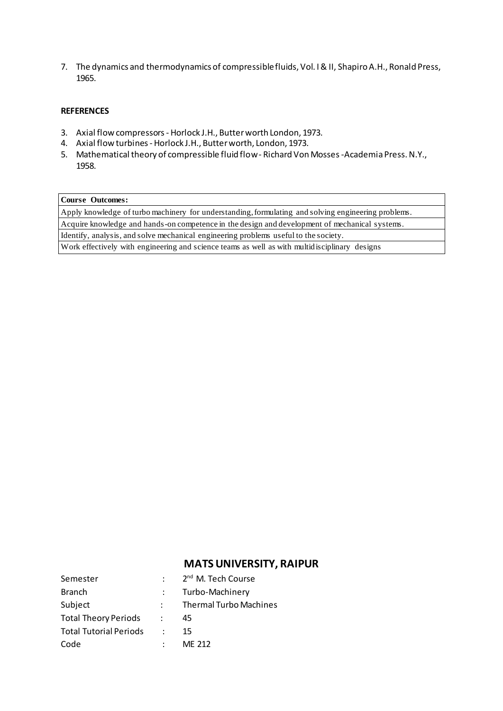7. The dynamics and thermodynamics of compressible fluids, Vol. I & II, Shapiro A.H., Ronald Press, 1965.

## **REFERENCES**

- 3. Axial flow compressors Horlock J.H., Butter worth London, 1973.
- 4. Axial flow turbines Horlock J.H., Butter worth, London, 1973.
- 5. Mathematical theory of compressible fluid flow Richard Von Mosses -Academia Press. N.Y., 1958.

### **Course Outcomes:**

Apply knowledge of turbo machinery for understanding, formulating and solving engineering problems. Acquire knowledge and hands-on competence in the design and development of mechanical systems. Identify, analysis, and solve mechanical engineering problems useful to the society.

Work effectively with engineering and science teams as well as with multidisciplinary designs

| Semester                      | 2 <sup>nd</sup> M. Tech Course |
|-------------------------------|--------------------------------|
| <b>Branch</b>                 | Turbo-Machinery                |
| Subject                       | <b>Thermal Turbo Machines</b>  |
| <b>Total Theory Periods</b>   | 45                             |
| <b>Total Tutorial Periods</b> | 15                             |
| Code                          | MF 212                         |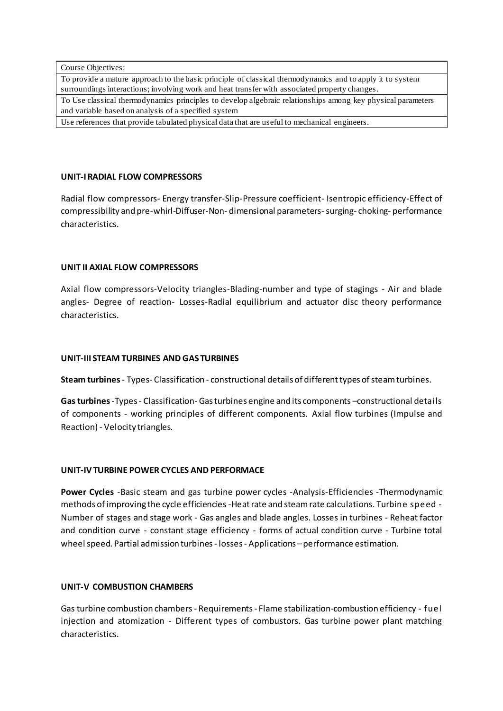Course Objectives:

To provide a mature approach to the basic principle of classical thermodynamics and to apply it to system surroundings interactions; involving work and heat transfer with associated property changes.

To Use classical thermodynamics principles to develop algebraic relationships among key physical parameters and variable based on analysis of a specified system

Use references that provide tabulated physical data that are useful to mechanical engineers.

## **UNIT-I RADIAL FLOW COMPRESSORS**

Radial flow compressors- Energy transfer-Slip-Pressure coefficient- Isentropic efficiency-Effect of compressibility and pre-whirl-Diffuser-Non- dimensional parameters-surging- choking- performance characteristics.

## **UNIT II AXIAL FLOW COMPRESSORS**

Axial flow compressors-Velocity triangles-Blading-number and type of stagings - Air and blade angles- Degree of reaction- Losses-Radial equilibrium and actuator disc theory performance characteristics.

## **UNIT-III STEAM TURBINES AND GAS TURBINES**

**Steam turbines** - Types- Classification - constructional details of different types of steam turbines.

**Gas turbines** -Types - Classification- Gas turbines engine and its components –constructional details of components - working principles of different components. Axial flow turbines (Impulse and Reaction) - Velocity triangles.

## **UNIT-IVTURBINE POWER CYCLES AND PERFORMACE**

**Power Cycles** -Basic steam and gas turbine power cycles -Analysis-Efficiencies -Thermodynamic methods of improving the cycle efficiencies -Heat rate and steam rate calculations. Turbine speed - Number of stages and stage work - Gas angles and blade angles. Losses in turbines - Reheat factor and condition curve - constant stage efficiency - forms of actual condition curve - Turbine total wheel speed. Partial admission turbines - losses - Applications – performance estimation.

## **UNIT-V COMBUSTION CHAMBERS**

Gas turbine combustion chambers - Requirements - Flame stabilization-combustion efficiency - fuel injection and atomization - Different types of combustors. Gas turbine power plant matching characteristics.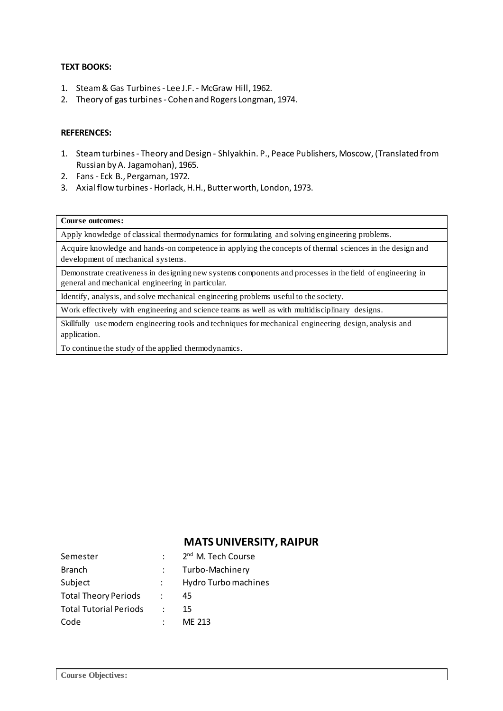## **TEXT BOOKS:**

- 1. Steam & Gas Turbines Lee J.F. McGraw Hill, 1962.
- 2. Theory of gas turbines Cohen and Rogers Longman, 1974.

## **REFERENCES:**

- 1. Steam turbines Theory and Design Shlyakhin. P., Peace Publishers, Moscow, (Translated from Russian by A. Jagamohan), 1965.
- 2. Fans Eck B., Pergaman, 1972.
- 3. Axial flow turbines Horlack, H.H., Butter worth, London, 1973.

### **Course outcomes:**

Apply knowledge of classical thermodynamics for formulating and solving engineering problems.

Acquire knowledge and hands-on competence in applying the concepts of thermal sciences in the design and development of mechanical systems.

Demonstrate creativeness in designing new systems components and processes in the field of engineering in general and mechanical engineering in particular.

Identify, analysis, and solve mechanical engineering problems useful to the society.

Work effectively with engineering and science teams as well as with multidisciplinary designs.

Skillfully use modern engineering tools and techniques for mechanical engineering design, analysis and application.

To continue the study of the applied thermodynamics.

| Semester                      |                      | 2 <sup>nd</sup> M. Tech Course |
|-------------------------------|----------------------|--------------------------------|
| <b>Branch</b>                 |                      | Turbo-Machinery                |
| Subject                       |                      | Hydro Turbo machines           |
| <b>Total Theory Periods</b>   | $\ddot{\phantom{a}}$ | 45                             |
| <b>Total Tutorial Periods</b> |                      | 15                             |
| Code                          |                      | ME 213                         |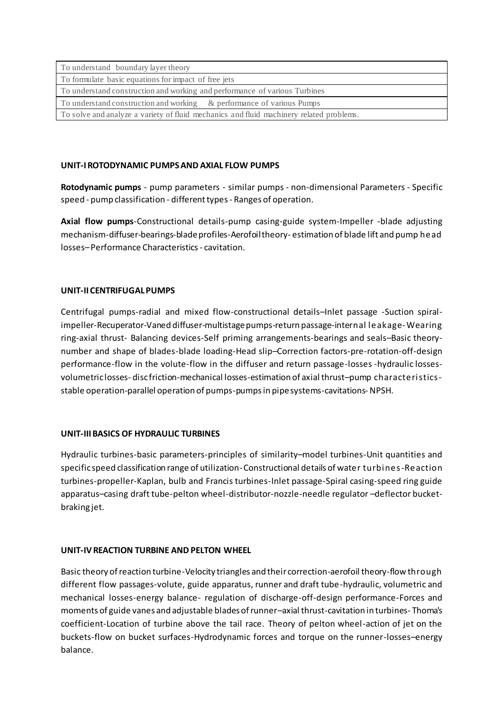| To understand boundary layer theory                                                     |  |  |
|-----------------------------------------------------------------------------------------|--|--|
| To formulate basic equations for impact of free jets                                    |  |  |
| To understand construction and working and performance of various Turbines              |  |  |
| To understand construction and working $\&$ performance of various Pumps                |  |  |
| To solve and analyze a variety of fluid mechanics and fluid machinery related problems. |  |  |

## **UNIT-I ROTODYNAMIC PUMPS AND AXIAL FLOW PUMPS**

**Rotodynamic pumps** - pump parameters - similar pumps - non-dimensional Parameters - Specific speed - pump classification - different types - Ranges of operation.

**Axial flow pumps**-Constructional details-pump casing-guide system-Impeller -blade adjusting mechanism-diffuser-bearings-blade profiles-Aerofoil theory- estimation of blade lift and pump head losses–Performance Characteristics - cavitation.

## **UNIT-II CENTRIFUGAL PUMPS**

Centrifugal pumps-radial and mixed flow-constructional details–Inlet passage -Suction spiralimpeller-Recuperator-Vaned diffuser-multistage pumps-return passage-internal leakage-Wearing ring-axial thrust- Balancing devices-Self priming arrangements-bearings and seals–Basic theorynumber and shape of blades-blade loading-Head slip–Correction factors-pre-rotation-off-design performance-flow in the volute-flow in the diffuser and return passage-losses -hydraulic lossesvolumetric losses- disc friction-mechanical losses-estimation of axial thrust–pump characteristicsstable operation-parallel operation of pumps-pumps in pipe systems-cavitations-NPSH.

## **UNIT-III BASICS OF HYDRAULIC TURBINES**

Hydraulic turbines-basic parameters-principles of similarity–model turbines-Unit quantities and specific speed classification range of utilization-Constructional details of water turbines-Reaction turbines-propeller-Kaplan, bulb and Francis turbines-Inlet passage-Spiral casing-speed ring guide apparatus–casing draft tube-pelton wheel-distributor-nozzle-needle regulator –deflector bucketbraking jet.

## **UNIT-IV REACTION TURBINE AND PELTON WHEEL**

Basic theory of reaction turbine-Velocity triangles and their correction-aerofoil theory-flow through different flow passages-volute, guide apparatus, runner and draft tube-hydraulic, volumetric and mechanical losses-energy balance- regulation of discharge-off-design performance-Forces and moments of guide vanes and adjustable blades of runner–axial thrust-cavitation in turbines- Thoma's coefficient-Location of turbine above the tail race. Theory of pelton wheel-action of jet on the buckets-flow on bucket surfaces-Hydrodynamic forces and torque on the runner-losses–energy balance.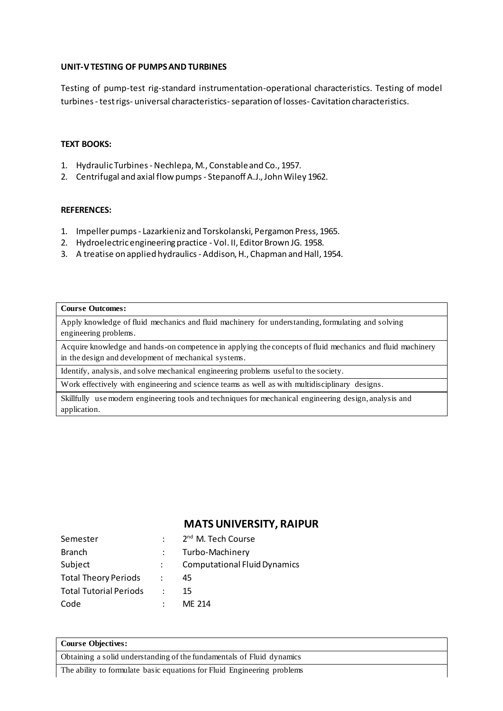## **UNIT-V TESTING OF PUMPS AND TURBINES**

Testing of pump-test rig-standard instrumentation-operational characteristics. Testing of model turbines-test rigs- universal characteristics-separation of losses- Cavitation characteristics.

## **TEXT BOOKS:**

- 1. Hydraulic Turbines Nechlepa, M., Constable and Co., 1957.
- 2. Centrifugal and axial flow pumps Stepanoff A.J., John Wiley 1962.

## **REFERENCES:**

- 1. Impeller pumps Lazarkieniz and Torskolanski, Pergamon Press, 1965.
- 2. Hydroelectric engineering practice Vol. II, Editor Brown JG. 1958.
- 3. A treatise on applied hydraulics Addison, H., Chapman and Hall, 1954.

#### **Course Outcomes:**

Apply knowledge of fluid mechanics and fluid machinery for understanding, formulating and solving engineering problems.

Acquire knowledge and hands-on competence in applying the concepts of fluid mechanics and fluid machinery in the design and development of mechanical systems.

Identify, analysis, and solve mechanical engineering problems useful to the society.

Work effectively with engineering and science teams as well as with multidisciplinary designs.

Skillfully use modern engineering tools and techniques for mechanical engineering design, analysis and application.

# **MATS UNIVERSITY, RAIPUR**

| Semester                      |   | 2 <sup>nd</sup> M. Tech Course      |
|-------------------------------|---|-------------------------------------|
| <b>Branch</b>                 |   | Turbo-Machinery                     |
| Subject                       |   | <b>Computational Fluid Dynamics</b> |
| <b>Total Theory Periods</b>   | ÷ | 45                                  |
| <b>Total Tutorial Periods</b> |   | 15                                  |
| Code                          |   | MF 214                              |

## **Course Objectives:**  Obtaining a solid understanding of the fundamentals of Fluid dynamics

The ability to formulate basic equations for Fluid Engineering problems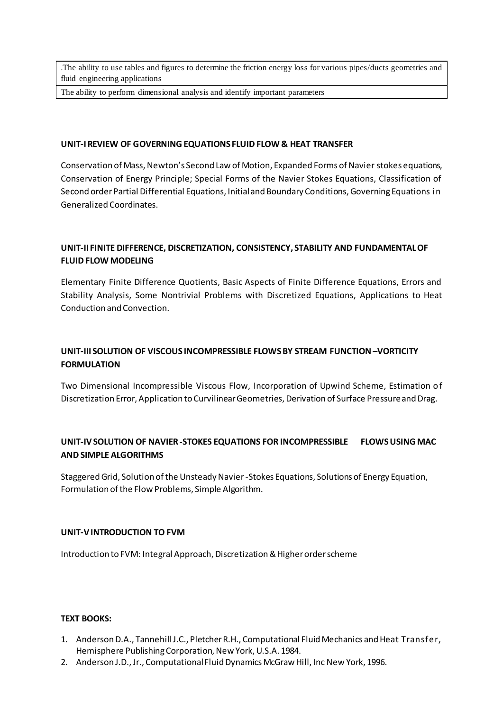.The ability to use tables and figures to determine the friction energy loss for various pipes/ducts geometries and fluid engineering applications

The ability to perform dimensional analysis and identify important parameters

### **UNIT-I REVIEW OF GOVERNING EQUATIONS FLUID FLOW & HEAT TRANSFER**

Conservation of Mass, Newton's Second Law of Motion, Expanded Forms of Navier stokes equations, Conservation of Energy Principle; Special Forms of the Navier Stokes Equations, Classification of Second order Partial Differential Equations, Initial and Boundary Conditions, Governing Equations in Generalized Coordinates.

## **UNIT-II FINITE DIFFERENCE, DISCRETIZATION, CONSISTENCY, STABILITY AND FUNDAMENTAL OF FLUID FLOW MODELING**

Elementary Finite Difference Quotients, Basic Aspects of Finite Difference Equations, Errors and Stability Analysis, Some Nontrivial Problems with Discretized Equations, Applications to Heat Conduction and Convection.

# **UNIT-III SOLUTION OF VISCOUS INCOMPRESSIBLE FLOWS BY STREAM FUNCTION –VORTICITY FORMULATION**

Two Dimensional Incompressible Viscous Flow, Incorporation of Upwind Scheme, Estimation of Discretization Error, Application to Curvilinear Geometries, Derivation of Surface Pressure and Drag.

## **UNIT-IVSOLUTION OF NAVIER -STOKES EQUATIONS FOR INCOMPRESSIBLE FLOWS USING MAC AND SIMPLE ALGORITHMS**

Staggered Grid, Solution of the Unsteady Navier -Stokes Equations, Solutions of Energy Equation, Formulation of the Flow Problems, Simple Algorithm.

## **UNIT-VINTRODUCTION TO FVM**

Introduction to FVM: Integral Approach, Discretization & Higher order scheme

#### **TEXT BOOKS:**

- 1. Anderson D.A., Tannehill J.C., Pletcher R.H., Computational Fluid Mechanics and Heat Transfer, Hemisphere Publishing Corporation, New York, U.S.A. 1984.
- 2. Anderson J.D., Jr., Computational Fluid Dynamics McGraw Hill, Inc New York, 1996.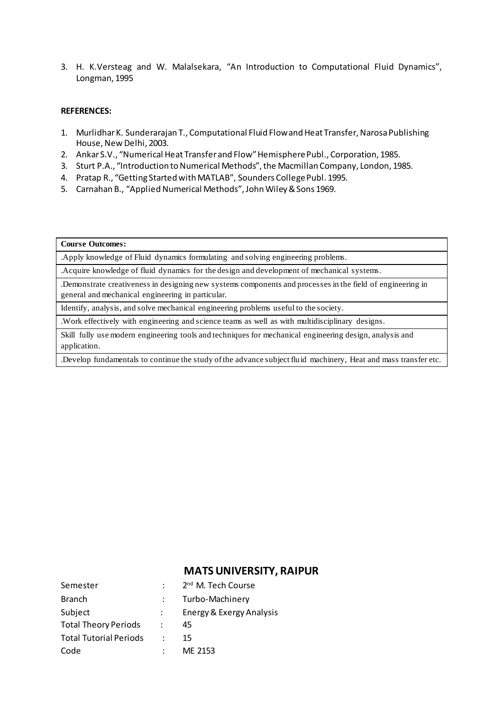3. H. K.Versteag and W. Malalsekara, "An Introduction to Computational Fluid Dynamics", Longman, 1995

#### **REFERENCES:**

- 1. Murlidhar K. Sunderarajan T., Computational Fluid Flow and Heat Transfer, Narosa Publishing House, New Delhi, 2003.
- 2. Ankar S.V., "Numerical Heat Transfer and Flow" Hemisphere Publ., Corporation, 1985.
- 3. Sturt P.A., "Introduction to Numerical Methods", the Macmillan Company, London, 1985.
- 4. Pratap R., "Getting Started with MATLAB", Sounders College Publ. 1995.
- 5. Carnahan B., "Applied Numerical Methods", John Wiley & Sons 1969.

#### **Course Outcomes:**

.Apply knowledge of Fluid dynamics formulating and solving engineering problems.

.Acquire knowledge of fluid dynamics for the design and development of mechanical systems.

.Demonstrate creativeness in designing new systems components and processes in the field of engineering in general and mechanical engineering in particular.

Identify, analysis, and solve mechanical engineering problems useful to the society.

.Work effectively with engineering and science teams as well as with multidisciplinary designs.

Skill fully use modern engineering tools and techniques for mechanical engineering design, analysis and application.

.Develop fundamentals to continue the study of the advance subject fluid machinery, Heat and mass transfer etc.

| Semester                      |                      | 2 <sup>nd</sup> M. Tech Course |
|-------------------------------|----------------------|--------------------------------|
| <b>Branch</b>                 |                      | Turbo-Machinery                |
| Subject                       |                      | Energy & Exergy Analysis       |
| <b>Total Theory Periods</b>   | $\ddot{\phantom{0}}$ | 45                             |
| <b>Total Tutorial Periods</b> |                      | 15                             |
| Code                          |                      | ME 2153                        |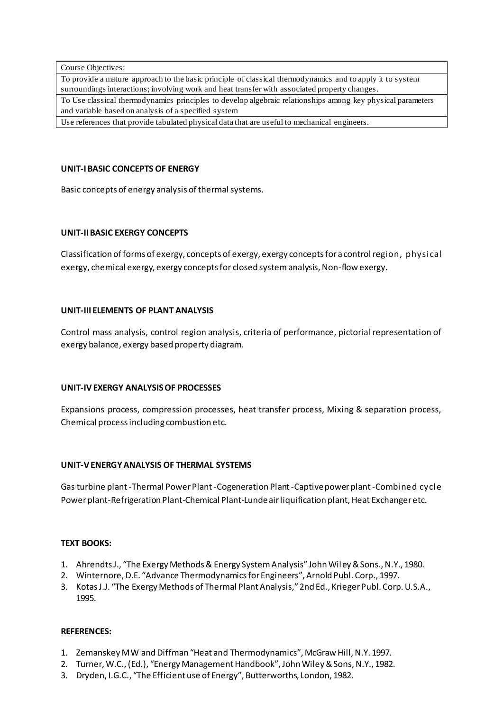Course Objectives:

To provide a mature approach to the basic principle of classical thermodynamics and to apply it to system surroundings interactions; involving work and heat transfer with associated property changes.

To Use classical thermodynamics principles to develop algebraic relationships among key physical parameters and variable based on analysis of a specified system

Use references that provide tabulated physical data that are useful to mechanical engineers.

## **UNIT-I BASIC CONCEPTS OF ENERGY**

Basic concepts of energy analysis of thermal systems.

## **UNIT-II BASIC EXERGY CONCEPTS**

Classification of forms of exergy, concepts of exergy, exergy concepts for a control region, physical exergy, chemical exergy, exergy concepts for closed system analysis, Non-flow exergy.

## **UNIT-III ELEMENTS OF PLANT ANALYSIS**

Control mass analysis, control region analysis, criteria of performance, pictorial representation of exergy balance, exergy based property diagram.

## **UNIT-IV EXERGY ANALYSIS OF PROCESSES**

Expansions process, compression processes, heat transfer process, Mixing & separation process, Chemical process including combustion etc.

## **UNIT-V ENERGY ANALYSIS OF THERMAL SYSTEMS**

Gas turbine plant -Thermal Power Plant -Cogeneration Plant -Captive power plant -Combined cycle Power plant-Refrigeration Plant-Chemical Plant-Lunde air liquification plant, Heat Exchanger etc.

## **TEXT BOOKS:**

- 1. Ahrendts J., "The Exergy Methods & Energy System Analysis" John Wiley & Sons., N.Y., 1980.
- 2. Winternore, D.E. "Advance Thermodynamics for Engineers", Arnold Publ. Corp., 1997.
- 3. Kotas J.J. "The Exergy Methods of Thermal Plant Analysis," 2nd Ed., Krieger Publ. Corp. U.S.A., 1995.

## **REFERENCES:**

- 1. Zemanskey M W and Diffman "Heat and Thermodynamics", McGraw Hill, N.Y. 1997.
- 2. Turner, W.C., (Ed.), "Energy Management Handbook", John Wiley & Sons, N.Y., 1982.
- 3. Dryden, I.G.C., "The Efficient use of Energy", Butterworths, London, 1982.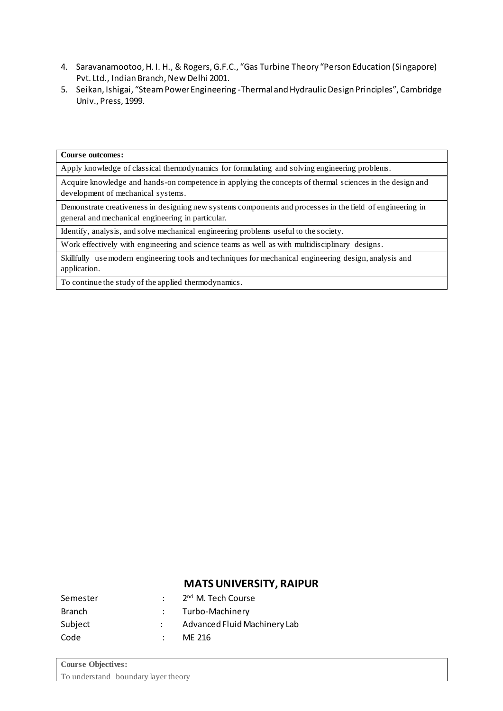- 4. Saravanamootoo, H. I. H., & Rogers, G.F.C., "Gas Turbine Theory "Person Education (Singapore) Pvt. Ltd., Indian Branch, New Delhi 2001.
- 5. Seikan, Ishigai, "Steam Power Engineering -Thermal and Hydraulic Design Principles", Cambridge Univ., Press, 1999.

## **Course outcomes:**

Apply knowledge of classical thermodynamics for formulating and solving engineering problems.

Acquire knowledge and hands-on competence in applying the concepts of thermal sciences in the design and development of mechanical systems.

Demonstrate creativeness in designing new systems components and processes in the field of engineering in general and mechanical engineering in particular.

Identify, analysis, and solve mechanical engineering problems useful to the society.

Work effectively with engineering and science teams as well as with multidisciplinary designs.

Skillfully use modern engineering tools and techniques for mechanical engineering design, analysis and application.

To continue the study of the applied thermodynamics.

| Semester | 2 <sup>nd</sup> M. Tech Course |
|----------|--------------------------------|
| Branch   | : Turbo-Machinery              |
| Subject  | Advanced Fluid Machinery Lab   |
| Code     | MF 216                         |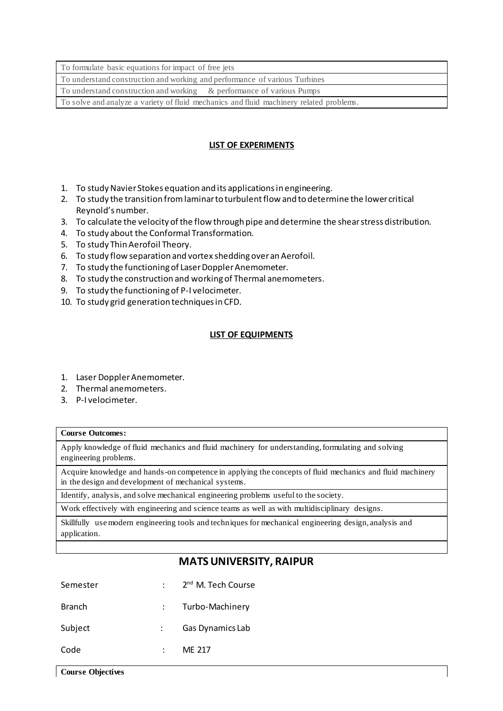To formulate basic equations for impact of free jets

To understand construction and working and performance of various Turbines

To understand construction and working & performance of various Pumps

To solve and analyze a variety of fluid mechanics and fluid machinery related problems.

## **LIST OF EXPERIMENTS**

- 1. To study Navier Stokes equation and its applications in engineering.
- 2. To study the transition from laminar to turbulent flow and to determine the lower critical Reynold's number.
- 3. To calculate the velocity of the flow through pipe and determine the shear stress distribution.
- 4. To study about the Conformal Transformation.
- 5. To study Thin Aerofoil Theory.
- 6. To study flow separation and vortex shedding over an Aerofoil.
- 7. To study the functioning of Laser Doppler Anemometer.
- 8. To study the construction and working of Thermal anemometers.
- 9. To study the functioning of P-I velocimeter.
- 10. To study grid generation techniques in CFD.

## **LIST OF EQUIPMENTS**

- 1. Laser Doppler Anemometer.
- 2. Thermal anemometers.
- 3. P-I velocimeter.

#### **Course Outcomes:**

Apply knowledge of fluid mechanics and fluid machinery for understanding, formulating and solving engineering problems.

Acquire knowledge and hands-on competence in applying the concepts of fluid mechanics and fluid machinery in the design and development of mechanical systems.

Identify, analysis, and solve mechanical engineering problems useful to the society.

Work effectively with engineering and science teams as well as with multidisciplinary designs.

Skillfully use modern engineering tools and techniques for mechanical engineering design, analysis and application.

| Semester      | 2 <sup>nd</sup> M. Tech Course |
|---------------|--------------------------------|
| <b>Branch</b> | Turbo-Machinery                |
| Subject       | Gas Dynamics Lab               |
| Code          | MF 217                         |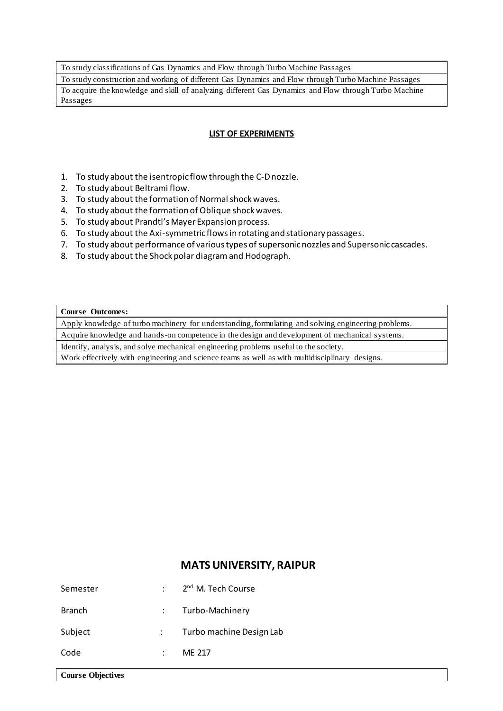To study classifications of Gas Dynamics and Flow through Turbo Machine Passages

To study construction and working of different Gas Dynamics and Flow through Turbo Machine Passages To acquire the knowledge and skill of analyzing different Gas Dynamics and Flow through Turbo Machine Passages

## **LIST OF EXPERIMENTS**

- 1. To study about the isentropic flow through the C-D nozzle.
- 2. To study about Beltrami flow.
- 3. To study about the formation of Normal shock waves.
- 4. To study about the formation of Oblique shock waves.
- 5. To study about Prandtl's Mayer Expansion process.
- 6. To study about the Axi-symmetric flows in rotating and stationary passages.
- 7. To study about performance of various types of supersonic nozzles and Supersonic cascades.
- 8. To study about the Shock polar diagramand Hodograph.

#### **Course Outcomes:**

Apply knowledge of turbo machinery for understanding, formulating and solving engineering problems.

Acquire knowledge and hands-on competence in the design and development of mechanical systems.

Identify, analysis, and solve mechanical engineering problems useful to the society.

Work effectively with engineering and science teams as well as with multidisciplinary designs.

| Semester      | $\therefore$ 2 <sup>nd</sup> M. Tech Course |
|---------------|---------------------------------------------|
| <b>Branch</b> | : Turbo-Machinery                           |
| Subject       | Turbo machine Design Lab                    |
| Code          | ME 217                                      |
|               |                                             |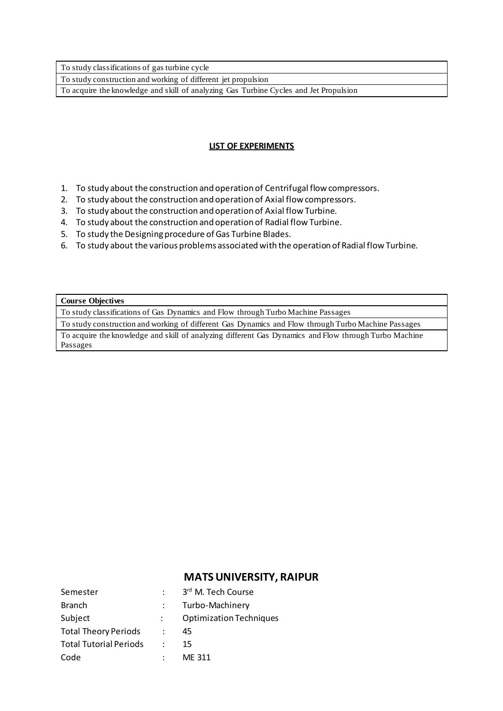To study classifications of gas turbine cycle

To study construction and working of different jet propulsion

To acquire the knowledge and skill of analyzing Gas Turbine Cycles and Jet Propulsion

## **LIST OF EXPERIMENTS**

- 1. To study about the construction and operation of Centrifugal flow compressors.
- 2. To study about the construction and operation of Axial flow compressors.
- 3. To study about the construction and operation of Axial flow Turbine.
- 4. To study about the construction and operation of Radial flow Turbine.
- 5. To study the Designing procedure of Gas Turbine Blades.
- 6. To study about the various problems associated with the operation of Radial flow Turbine.

#### **Course Objectives**

To study classifications of Gas Dynamics and Flow through Turbo Machine Passages

To study construction and working of different Gas Dynamics and Flow through Turbo Machine Passages

To acquire the knowledge and skill of analyzing different Gas Dynamics and Flow through Turbo Machine Passages

| Semester                      | 3rd M. Tech Course             |
|-------------------------------|--------------------------------|
| <b>Branch</b>                 | Turbo-Machinery                |
| Subject                       | <b>Optimization Techniques</b> |
| <b>Total Theory Periods</b>   | 45                             |
| <b>Total Tutorial Periods</b> | 15                             |
| Code                          | ME 311                         |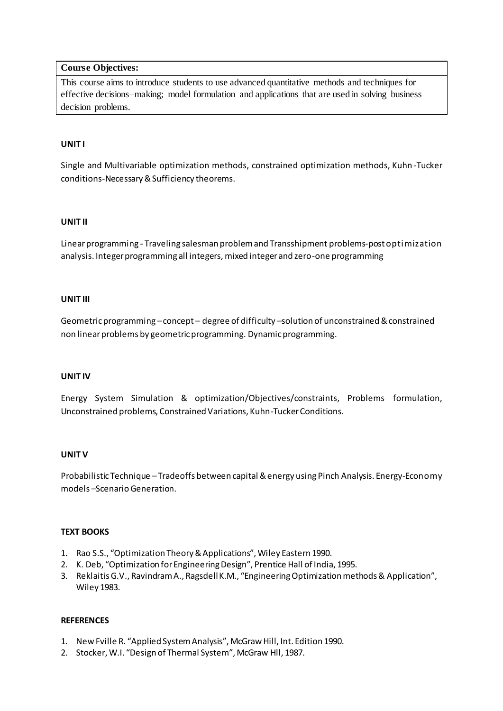## **Course Objectives:**

This course aims to introduce students to use advanced quantitative methods and techniques for effective decisions–making; model formulation and applications that are used in solving business decision problems.

## **UNIT I**

Single and Multivariable optimization methods, constrained optimization methods, Kuhn-Tucker conditions-Necessary & Sufficiency theorems.

## **UNIT II**

Linear programming - Traveling salesman problem and Transshipment problems-post optimization analysis. Integer programming all integers, mixed integer and zero-one programming

## **UNIT III**

Geometric programming –concept – degree of difficulty –solution of unconstrained & constrained non linear problems by geometric programming. Dynamic programming.

#### **UNIT IV**

Energy System Simulation & optimization/Objectives/constraints, Problems formulation, Unconstrained problems, Constrained Variations, Kuhn-TuckerConditions.

#### **UNIT V**

Probabilistic Technique –Tradeoffs between capital & energy using Pinch Analysis. Energy-Economy models –Scenario Generation.

## **TEXT BOOKS**

- 1. Rao S.S., "Optimization Theory & Applications", Wiley Eastern 1990.
- 2. K. Deb, "Optimization for Engineering Design", Prentice Hall of India, 1995.
- 3. Reklaitis G.V., Ravindram A., Ragsdell K.M., "Engineering Optimization methods & Application", Wiley 1983.

#### **REFERENCES**

- 1. New Fville R. "Applied System Analysis", McGraw Hill, Int. Edition 1990.
- 2. Stocker, W.I. "Design of Thermal System", McGraw Hll, 1987.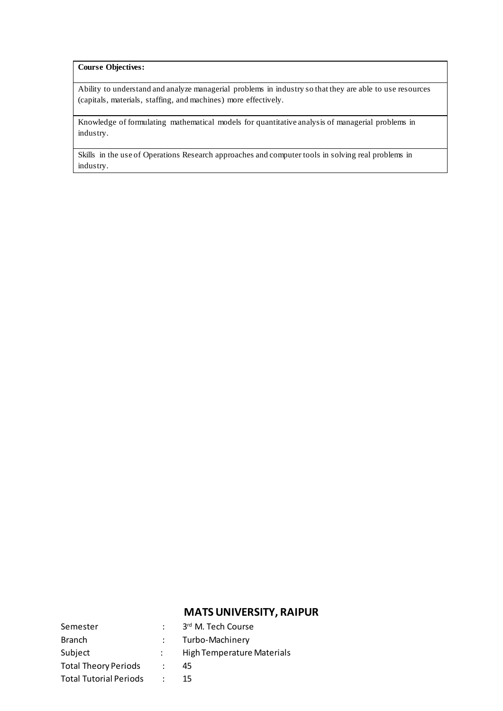#### **Course Objectives:**

Ability to understand and analyze managerial problems in industry so that they are able to use resources (capitals, materials, staffing, and machines) more effectively.

Knowledge of formulating mathematical models for quantitative analysis of managerial problems in industry.

Skills in the use of Operations Research approaches and computer tools in solving real problems in industry.

| Semester                      | 3rd M. Tech Course         |
|-------------------------------|----------------------------|
| <b>Branch</b>                 | Turbo-Machinery            |
| Subject                       | High Temperature Materials |
| <b>Total Theory Periods</b>   | 45                         |
| <b>Total Tutorial Periods</b> | 15.                        |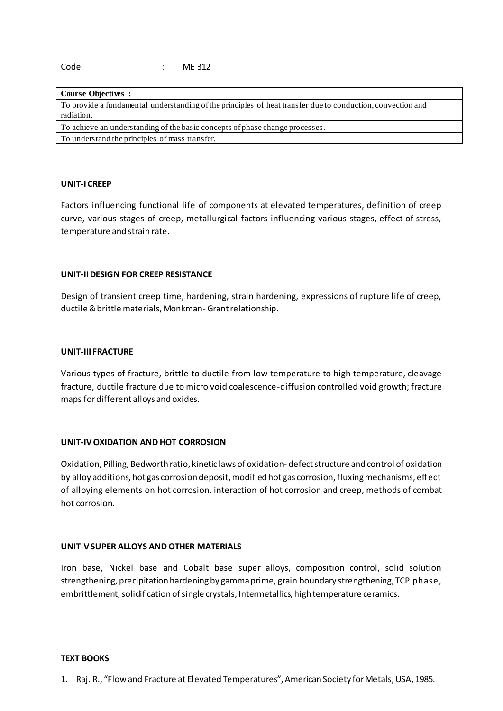| <b>Course Objectives :</b>                                                                                  |
|-------------------------------------------------------------------------------------------------------------|
| To provide a fundamental understanding of the principles of heat transfer due to conduction, convection and |
| radiation.                                                                                                  |
| To achieve an understanding of the basic concepts of phase change processes.                                |
| To understand the principles of mass transfer.                                                              |

## **UNIT-I CREEP**

Factors influencing functional life of components at elevated temperatures, definition of creep curve, various stages of creep, metallurgical factors influencing various stages, effect of stress, temperature and strain rate.

#### **UNIT-II DESIGN FOR CREEP RESISTANCE**

Design of transient creep time, hardening, strain hardening, expressions of rupture life of creep, ductile & brittle materials, Monkman- Grant relationship.

#### **UNIT-III FRACTURE**

Various types of fracture, brittle to ductile from low temperature to high temperature, cleavage fracture, ductile fracture due to micro void coalescence-diffusion controlled void growth; fracture maps for different alloys and oxides.

## **UNIT-IV OXIDATION AND HOT CORROSION**

Oxidation, Pilling, Bedworth ratio, kinetic laws of oxidation- defect structure and control of oxidation by alloy additions, hot gas corrosion deposit, modified hot gas corrosion, fluxing mechanisms, effect of alloying elements on hot corrosion, interaction of hot corrosion and creep, methods of combat hot corrosion.

## **UNIT-V SUPER ALLOYS AND OTHER MATERIALS**

Iron base, Nickel base and Cobalt base super alloys, composition control, solid solution strengthening, precipitation hardening by gamma prime, grain boundary strengthening, TCP phase, embrittlement, solidification of single crystals, Intermetallics, high temperature ceramics.

## **TEXT BOOKS**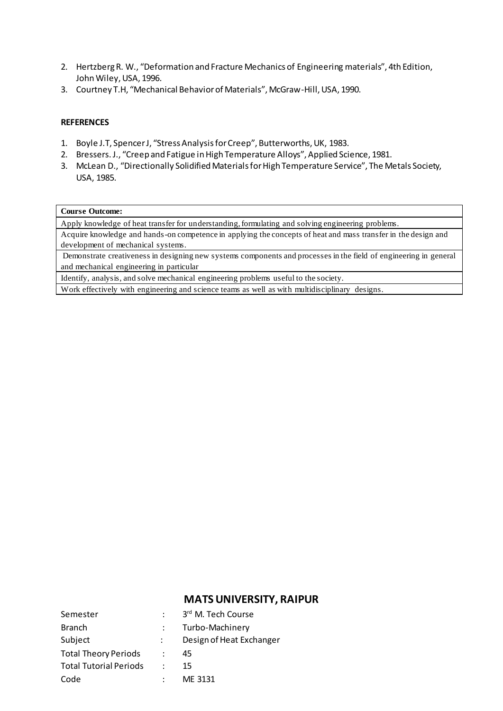- 2. Hertzberg R. W., "Deformation and Fracture Mechanics of Engineering materials", 4th Edition, John Wiley, USA, 1996.
- 3. Courtney T.H, "Mechanical Behavior of Materials", McGraw-Hill, USA, 1990.

## **REFERENCES**

- 1. Boyle J.T, Spencer J, "Stress Analysis for Creep", Butterworths, UK, 1983.
- 2. Bressers. J., "Creep and Fatigue in High Temperature Alloys", Applied Science, 1981.
- 3. McLean D., "Directionally Solidified Materials for High Temperature Service", The Metals Society, USA, 1985.

#### **Course Outcome:**

Apply knowledge of heat transfer for understanding, formulating and solving engineering problems.

Acquire knowledge and hands-on competence in applying the concepts of heat and mass transfer in the design and development of mechanical systems.

Demonstrate creativeness in designing new systems components and processes in the field of engineering in general and mechanical engineering in particular

Identify, analysis, and solve mechanical engineering problems useful to the society.

Work effectively with engineering and science teams as well as with multidisciplinary designs.

| Semester                      | 3rd M. Tech Course       |
|-------------------------------|--------------------------|
| <b>Branch</b>                 | Turbo-Machinery          |
|                               |                          |
| Subject                       | Design of Heat Exchanger |
| <b>Total Theory Periods</b>   | 45                       |
| <b>Total Tutorial Periods</b> | 15                       |
| Code                          | ME 3131                  |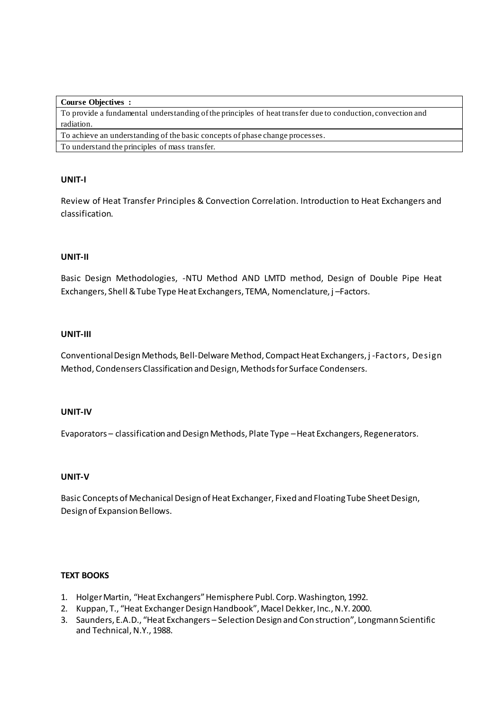| <b>Course Objectives :</b>                                                                                  |
|-------------------------------------------------------------------------------------------------------------|
| To provide a fundamental understanding of the principles of heat transfer due to conduction, convection and |
| radiation.                                                                                                  |
| To achieve an understanding of the basic concepts of phase change processes.                                |
| To understand the principles of mass transfer.                                                              |

## **UNIT-I**

Review of Heat Transfer Principles & Convection Correlation. Introduction to Heat Exchangers and classification.

## **UNIT-II**

Basic Design Methodologies, -NTU Method AND LMTD method, Design of Double Pipe Heat Exchangers, Shell & Tube Type Heat Exchangers, TEMA, Nomenclature, j –Factors.

## **UNIT-III**

Conventional Design Methods, Bell-Delware Method, Compact Heat Exchangers, j -Factors, Design Method, Condensers Classification and Design, Methods for Surface Condensers.

## **UNIT-IV**

Evaporators – classification and Design Methods, Plate Type –Heat Exchangers, Regenerators.

## **UNIT-V**

Basic Concepts of Mechanical Design of Heat Exchanger, Fixed and Floating Tube Sheet Design, Design of Expansion Bellows.

## **TEXT BOOKS**

- 1. Holger Martin, "Heat Exchangers" Hemisphere Publ. Corp. Washington, 1992.
- 2. Kuppan, T., "Heat Exchanger Design Handbook", Macel Dekker, Inc., N.Y. 2000.
- 3. Saunders, E.A.D., "Heat Exchangers Selection Design and Con struction", Longmann Scientific and Technical, N.Y., 1988.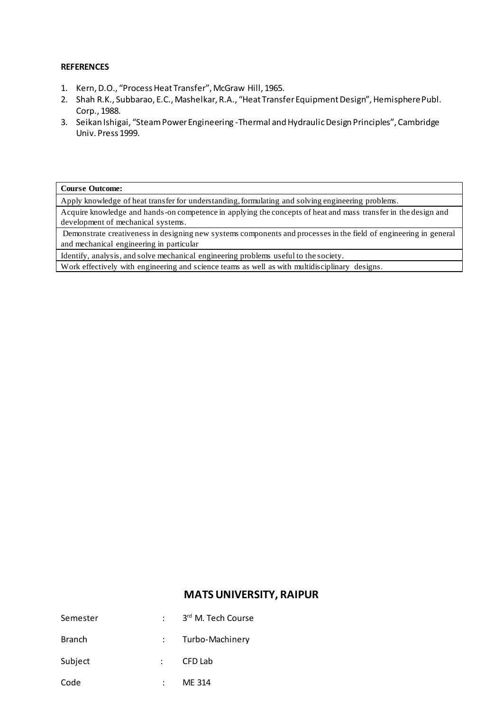#### **REFERENCES**

- 1. Kern, D.O., "Process Heat Transfer", McGraw Hill, 1965.
- 2. Shah R.K., Subbarao, E.C., Mashelkar, R.A., "Heat Transfer Equipment Design", Hemisphere Publ. Corp., 1988.
- 3. Seikan Ishigai, "Steam Power Engineering -Thermal and Hydraulic Design Principles", Cambridge Univ. Press 1999.

#### **Course Outcome:**

Apply knowledge of heat transfer for understanding, formulating and solving engineering problems.

Acquire knowledge and hands-on competence in applying the concepts of heat and mass transfer in the design and development of mechanical systems.

Demonstrate creativeness in designing new systems components and processes in the field of engineering in general and mechanical engineering in particular

Identify, analysis, and solve mechanical engineering problems useful to the society.

Work effectively with engineering and science teams as well as with multidisciplinary designs.

| Semester      | 3rd M. Tech Course |
|---------------|--------------------|
| <b>Branch</b> | Turbo-Machinery    |
| Subject       | CFD Lab            |
| Code          | ME 314             |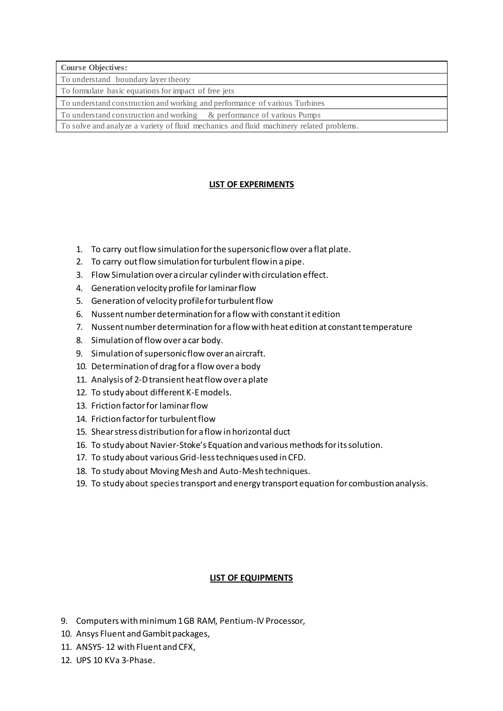|  | <b>Course Objectives:</b> |
|--|---------------------------|
|--|---------------------------|

To understand boundary layer theory

To formulate basic equations for impact of free jets

To understand construction and working and performance of various Turbines

To understand construction and working & performance of various Pumps

To solve and analyze a variety of fluid mechanics and fluid machinery related problems.

## **LIST OF EXPERIMENTS**

- 1. To carry out flow simulation for the supersonic flow over a flat plate.
- 2. To carry out flow simulation for turbulent flow in a pipe.
- 3. Flow Simulation over a circular cylinder with circulation effect.
- 4. Generation velocity profile for laminar flow
- 5. Generation of velocity profile for turbulent flow
- 6. Nussent number determination for a flow with constant it edition
- 7. Nussent number determination for a flow with heat edition at constant temperature
- 8. Simulation of flow over a car body.
- 9. Simulation of supersonic flow over an aircraft.
- 10. Determination of drag for a flow over a body
- 11. Analysis of 2-D transient heat flow over a plate
- 12. To study about different K-E models.
- 13. Friction factor for laminar flow
- 14. Friction factor for turbulent flow
- 15. Shear stress distribution for a flow in horizontal duct
- 16. To study about Navier-Stoke's Equation and various methods for its solution.
- 17. To study about various Grid-less techniques used in CFD.
- 18. To study about Moving Mesh and Auto-Mesh techniques.
- 19. To study about species transport and energy transport equation for combustion analysis.

## **LIST OF EQUIPMENTS**

- 9. Computers with minimum 1 GB RAM, Pentium-IV Processor,
- 10. Ansys Fluent and Gambit packages,
- 11. ANSYS- 12 with Fluent and CFX,
- 12. UPS 10 KVa 3-Phase.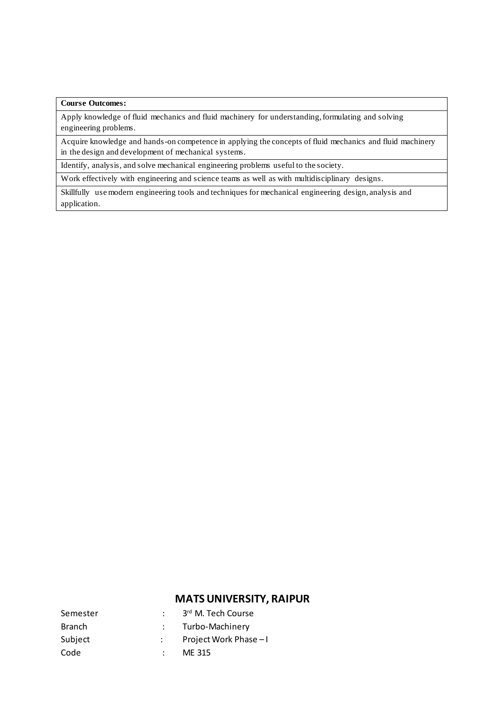## **Course Outcomes:**

Apply knowledge of fluid mechanics and fluid machinery for understanding, formulating and solving engineering problems.

Acquire knowledge and hands-on competence in applying the concepts of fluid mechanics and fluid machinery in the design and development of mechanical systems.

Identify, analysis, and solve mechanical engineering problems useful to the society.

Work effectively with engineering and science teams as well as with multidisciplinary designs.

Skillfully use modern engineering tools and techniques for mechanical engineering design, analysis and application.

| Semester      | 3rd M. Tech Course     |
|---------------|------------------------|
| <b>Branch</b> | Turbo-Machinery        |
| Subject       | Project Work Phase - I |
| Code          | MF 315                 |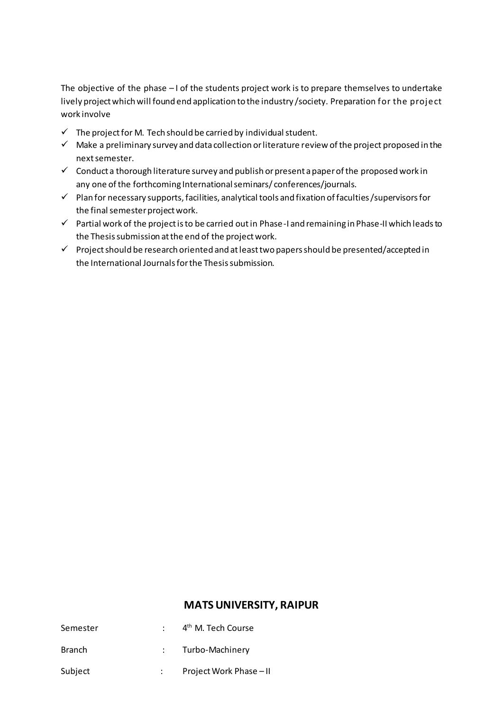The objective of the phase – I of the students project work is to prepare themselves to undertake lively project which will found end application to the industry /society. Preparation for the project work involve

- $\checkmark$  The project for M. Tech should be carried by individual student.
- $\checkmark$  Make a preliminary survey and data collection or literature review of the project proposed in the next semester.
- $\checkmark$  Conduct a thorough literature survey and publish or present a paper of the proposed work in any one of the forthcoming International seminars/conferences/journals.
- ✓ Plan for necessary supports, facilities, analytical tools and fixation of faculties /supervisors for the final semester project work.
- ✓ Partial work of the project is to be carried out in Phase-I and remaining in Phase-II which leads to the Thesis submission at the end of the project work.
- ✓ Project should be research oriented and at least two papers should be presented/accepted in the International Journals for the Thesis submission.

| Semester      | 4 <sup>th</sup> M. Tech Course |
|---------------|--------------------------------|
| <b>Branch</b> | Turbo-Machinery                |
| Subject       | Project Work Phase - II        |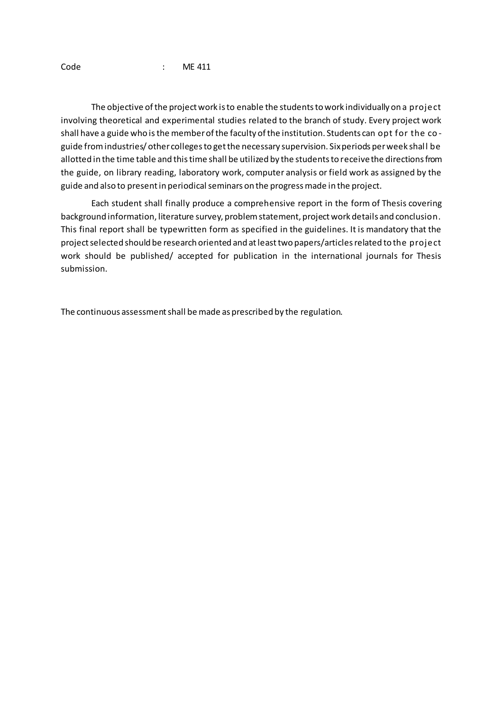Code : ME 411

The objective of the project work is to enable the students to work individually on a project involving theoretical and experimental studies related to the branch of study. Every project work shall have a guide who is the member of the faculty of the institution. Students can opt for the coguide from industries/ other colleges to get the necessary supervision. Six periods per week shall be allotted in the time table and this time shall be utilized by the students to receive the directions from the guide, on library reading, laboratory work, computer analysis or field work as assigned by the guide and also to present in periodical seminars on the progress made in the project.

Each student shall finally produce a comprehensive report in the form of Thesis covering background information, literature survey, problem statement, project work details and conclusion. This final report shall be typewritten form as specified in the guidelines. It is mandatory that the project selected should be research oriented and at least two papers/articles related to the project work should be published/ accepted for publication in the international journals for Thesis submission.

The continuous assessment shall be made as prescribed by the regulation.